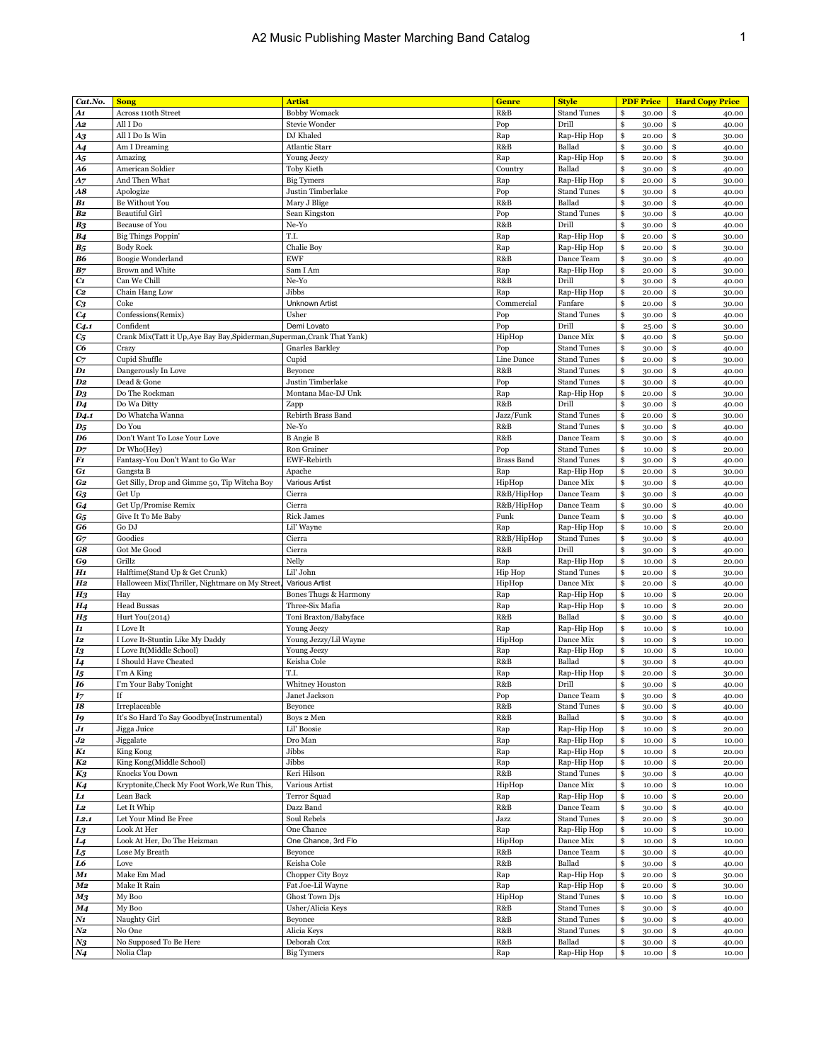| Cat.No.           | <b>Song</b>                                                              | <b>Artist</b>          | <b>Genre</b>      | <b>Style</b>       | <b>PDF Price</b> | <b>Hard Copy Price</b> |
|-------------------|--------------------------------------------------------------------------|------------------------|-------------------|--------------------|------------------|------------------------|
| A1                | Across 110th Street                                                      | <b>Bobby Womack</b>    | R&B               | <b>Stand Tunes</b> | \$<br>30.00      | \$<br>40.00            |
| A2                | All I Do                                                                 | Stevie Wonder          | Pop               | Drill              | \$<br>30.00      | \$<br>40.00            |
|                   | All I Do Is Win                                                          | DJ Khaled              | Rap               | Rap-Hip Hop        | \$<br>20.00      | \$<br>30.00            |
| A3                | Am I Dreaming                                                            | <b>Atlantic Starr</b>  | R&B               | Ballad             | \$               | \$                     |
| <b>A4</b>         |                                                                          |                        |                   |                    | 30.00            | 40.00                  |
| $A_{5}$           | Amazing                                                                  | Young Jeezy            | Rap               | Rap-Hip Hop        | \$<br>20.00      | \$<br>30.00            |
| A6                | American Soldier                                                         | Toby Kieth             | Country           | Ballad             | \$<br>30.00      | \$<br>40.00            |
| A7                | And Then What                                                            | <b>Big Tymers</b>      | Rap               | Rap-Hip Hop        | \$<br>20.00      | \$<br>30.00            |
| A8                | Apologize                                                                | Justin Timberlake      | Pop               | <b>Stand Tunes</b> | \$<br>30.00      | \$<br>40.00            |
| B <sub>1</sub>    | Be Without You                                                           | Mary J Blige           | R&B               | Ballad             | \$<br>30.00      | \$<br>40.00            |
| B <sub>2</sub>    | <b>Beautiful Girl</b>                                                    | Sean Kingston          | Pop               | <b>Stand Tunes</b> | \$<br>30.00      | \$<br>40.00            |
| B <sub>3</sub>    | <b>Because of You</b>                                                    | Ne-Yo                  | R&B               | Drill              | \$<br>30.00      | \$<br>40.00            |
| B <sub>4</sub>    | Big Things Poppin'                                                       | T.I.                   | Rap               | Rap-Hip Hop        | \$<br>20.00      | \$<br>30.00            |
| В5                | <b>Body Rock</b>                                                         | Chalie Boy             | Rap               | Rap-Hip Hop        | \$<br>20.00      | \$<br>30.00            |
|                   |                                                                          | <b>EWF</b>             | R&B               |                    | \$               | \$                     |
| B6                | Boogie Wonderland                                                        |                        |                   | Dance Team         | 30.00            | 40.00                  |
| B <sub>7</sub>    | <b>Brown and White</b>                                                   | Sam I Am               | Rap               | Rap-Hip Hop        | \$<br>20.00      | \$<br>30.00            |
| $C_{1}$           | Can We Chill                                                             | Ne-Yo                  | R&B               | Drill              | \$<br>30.00      | \$<br>40.00            |
| C <sub>2</sub>    | Chain Hang Low                                                           | Jibbs                  | Rap               | Rap-Hip Hop        | \$<br>20.00      | \$<br>30.00            |
| $c_3$             | Coke                                                                     | <b>Unknown Artist</b>  | Commercial        | Fanfare            | \$<br>20.00      | \$<br>30.00            |
| C <sub>4</sub>    | Confessions(Remix)                                                       | Usher                  | Pop               | <b>Stand Tunes</b> | \$<br>30.00      | \$<br>40.00            |
| C <sub>4.1</sub>  | Confident                                                                | Demi Lovato            | Pop               | Drill              | \$<br>25.00      | \$<br>30.00            |
| $c_{5}$           | Crank Mix(Tatt it Up, Aye Bay Bay, Spiderman, Superman, Crank That Yank) |                        | HipHop            | Dance Mix          | \$<br>40.00      | \$<br>50.00            |
| C6                | Crazy                                                                    | <b>Gnarles Barkley</b> | Pop               | <b>Stand Tunes</b> | \$<br>30.00      | \$<br>40.00            |
|                   | Cupid Shuffle                                                            | Cupid                  | Line Dance        | <b>Stand Tunes</b> | \$<br>20.00      | \$                     |
| $C_{7}$           |                                                                          |                        |                   |                    |                  | 30.00                  |
| $\mathbf{D1}$     | Dangerously In Love                                                      | Beyonce                | R&B               | <b>Stand Tunes</b> | \$<br>30.00      | \$<br>40.00            |
| D <sub>2</sub>    | Dead & Gone                                                              | Justin Timberlake      | Pop               | <b>Stand Tunes</b> | \$<br>30.00      | \$<br>40.00            |
| $D_3$             | Do The Rockman                                                           | Montana Mac-DJ Unk     | Rap               | Rap-Hip Hop        | \$<br>20.00      | \$<br>30.00            |
| $\bm{D4}$         | Do Wa Ditty                                                              | Zapp                   | R&B               | Drill              | \$<br>30.00      | \$<br>40.00            |
| D <sub>4</sub> .1 | Do Whatcha Wanna                                                         | Rebirth Brass Band     | Jazz/Funk         | <b>Stand Tunes</b> | \$<br>20.00      | \$<br>30.00            |
| $D_5$             | Do You                                                                   | Ne-Yo                  | R&B               | <b>Stand Tunes</b> | \$<br>30.00      | \$<br>40.00            |
| D6                | Don't Want To Lose Your Love                                             | <b>B</b> Angie B       | R&B               | Dance Team         | \$<br>30.00      | \$<br>40.00            |
| $D_7$             | Dr Who(Hey)                                                              | Ron Grainer            | Pop               | <b>Stand Tunes</b> | \$<br>10.00      | \$<br>20.00            |
| F1                | Fantasy-You Don't Want to Go War                                         | EWF-Rebirth            | <b>Brass Band</b> | <b>Stand Tunes</b> | \$<br>30.00      | \$<br>40.00            |
| G1                | Gangsta B                                                                | Apache                 | Rap               | Rap-Hip Hop        | \$<br>20.00      | \$<br>30.00            |
|                   | Get Silly, Drop and Gimme 50, Tip Witcha Boy                             | <b>Various Artist</b>  |                   | Dance Mix          |                  |                        |
| G <sub>2</sub>    |                                                                          |                        | HipHop            |                    | \$<br>30.00      | \$<br>40.00            |
| G3                | Get Up                                                                   | Cierra                 | R&B/HipHop        | Dance Team         | \$<br>30.00      | \$<br>40.00            |
| G4                | Get Up/Promise Remix                                                     | Cierra                 | R&B/HipHop        | Dance Team         | \$<br>30.00      | 40.00<br>\$            |
| $G_{5}$           | Give It To Me Baby                                                       | <b>Rick James</b>      | Funk              | Dance Team         | \$<br>30.00      | \$<br>40.00            |
| G6                | Go DJ                                                                    | Lil' Wayne             | Rap               | Rap-Hip Hop        | \$<br>10.00      | \$<br>20.00            |
| $G_7$             | Goodies                                                                  | Cierra                 | R&B/HipHop        | <b>Stand Tunes</b> | \$<br>30.00      | \$<br>40.00            |
| G8                | Got Me Good                                                              | Cierra                 | R&B               | Drill              | \$<br>30.00      | \$<br>40.00            |
| G9                | Grillz                                                                   | Nelly                  | Rap               | Rap-Hip Hop        | \$<br>10.00      | \$<br>20.00            |
| H1                | Halftime(Stand Up & Get Crunk)                                           | Lil' John              | Hip Hop           | <b>Stand Tunes</b> | \$<br>20.00      | \$<br>30.00            |
| $_{H2}$           | Halloween Mix(Thriller, Nightmare on My Street,                          | Various Artist         | HipHop            | Dance Mix          | \$               | \$<br>40.00            |
|                   |                                                                          |                        |                   |                    | 20.00            |                        |
| $_{H_3}$          | Hay                                                                      | Bones Thugs & Harmony  | Rap               | Rap-Hip Hop        | \$<br>10.00      | \$<br>20.00            |
| <b>H4</b>         | <b>Head Bussas</b>                                                       | Three-Six Mafia        | Rap               | Rap-Hip Hop        | \$<br>10.00      | \$<br>20.00            |
| $H_5$             | Hurt You(2014)                                                           | Toni Braxton/Babyface  | R&B               | Ballad             | \$<br>30.00      | \$<br>40.00            |
| <i>I1</i>         | I Love It                                                                | Young Jeezy            | Rap               | Rap-Hip Hop        | \$<br>10.00      | \$<br>10.00            |
| I2                | I Love It-Stuntin Like My Daddy                                          | Young Jezzy/Lil Wayne  | HipHop            | Dance Mix          | \$<br>10.00      | \$<br>10.00            |
| I3                | I Love It(Middle School)                                                 | Young Jeezy            | Rap               | Rap-Hip Hop        | \$<br>10.00      | \$<br>10.00            |
| 14                | I Should Have Cheated                                                    | Keisha Cole            | R&B               | Ballad             | \$<br>30.00      | \$<br>40.00            |
| I5                | I'm A King                                                               | T.I.                   | Rap               | Rap-Hip Hop        | \$<br>20.00      | \$<br>30.00            |
| 16                | I'm Your Baby Tonight                                                    | Whitney Houston        | R&B               | Drill              | \$<br>30.00      | \$<br>40.00            |
| I7                | If                                                                       | Janet Jackson          | Pop               | Dance Team         | \$<br>30.00      | \$<br>40.00            |
|                   |                                                                          |                        |                   |                    |                  |                        |
| 18                | Irreplaceable                                                            | Beyonce                | R&B               | <b>Stand Tunes</b> | \$<br>30.00      | \$<br>40.00            |
| I9                | It's So Hard To Sav Goodbye(Instrumental)                                | Boys 2 Men             | R&B               | Ballad             | \$<br>30.00      | \$<br>40.00            |
| $J_1$             | Jigga Juice                                                              | Lil' Boosie            | Rap               | Rap-Hip Hop        | \$<br>10.00      | \$<br>20.00            |
| $_{\emph{J2}}$    | Jiggalate                                                                | Dro Man                | Rap               | Rap-Hip Hop        | \$<br>10.00      | \$<br>10.00            |
| K1                | King Kong                                                                | Jibbs                  | Rap               | Rap-Hip Hop        | \$<br>10.00      | \$<br>20.00            |
| K2                | King Kong(Middle School)                                                 | Jibbs                  | Rap               | Rap-Hip Hop        | \$<br>10.00      | \$<br>20.00            |
| K3                | Knocks You Down                                                          | Keri Hilson            | R&B               | <b>Stand Tunes</b> | \$<br>30.00      | \$<br>40.00            |
| K4                | Kryptonite, Check My Foot Work, We Run This,                             | Various Artist         | HipHop            | Dance Mix          | \$<br>10.00      | \$<br>10.00            |
| L1                | Lean Back                                                                | <b>Terror Squad</b>    | Rap               | Rap-Hip Hop        | \$<br>10.00      | \$<br>20.00            |
| L2                | Let It Whip                                                              | Dazz Band              | R&B               | Dance Team         | \$               | \$<br>40.00            |
|                   | Let Your Mind Be Free                                                    | Soul Rebels            |                   |                    | 30.00            |                        |
| L2.1              |                                                                          |                        | Jazz              | <b>Stand Tunes</b> | \$<br>20.00      | \$<br>30.00            |
| L3                | Look At Her                                                              | One Chance             | Rap               | Rap-Hip Hop        | \$<br>10.00      | \$<br>10.00            |
| L4                | Look At Her, Do The Heizman                                              | One Chance, 3rd Flo    | HipHop            | Dance Mix          | \$<br>10.00      | \$<br>10.00            |
| L5                | Lose My Breath                                                           | Beyonce                | R&B               | Dance Team         | \$<br>30.00      | \$<br>40.00            |
| L6                | Love                                                                     | Keisha Cole            | R&B               | Ballad             | \$<br>30.00      | \$<br>40.00            |
| M <sub>1</sub>    | Make Em Mad                                                              | Chopper City Boyz      | Rap               | Rap-Hip Hop        | \$<br>20.00      | \$<br>30.00            |
| M <sub>2</sub>    | Make It Rain                                                             | Fat Joe-Lil Wayne      | Rap               | Rap-Hip Hop        | \$<br>20.00      | \$<br>30.00            |
| $_{M3}$           | My Boo                                                                   | Ghost Town Djs         | HipHop            | <b>Stand Tunes</b> | \$<br>10.00      | \$<br>10.00            |
|                   | My Boo                                                                   | Usher/Alicia Keys      | R&B               | <b>Stand Tunes</b> | \$               | \$                     |
| M4                |                                                                          |                        |                   |                    | 30.00            | 40.00                  |
| $N_{1}$           | Naughty Girl                                                             | Beyonce                | R&B               | <b>Stand Tunes</b> | \$<br>30.00      | \$<br>40.00            |
| $N_{2}$           | No One                                                                   | Alicia Keys            | R&B               | <b>Stand Tunes</b> | \$<br>30.00      | \$<br>40.00            |
| $N_3$             | No Supposed To Be Here                                                   | Deborah Cox            | R&B               | Ballad             | \$<br>30.00      | \$<br>40.00            |
| N <sub>4</sub>    | Nolia Clap                                                               | <b>Big Tymers</b>      | Rap               | Rap-Hip Hop        | \$<br>10.00      | \$<br>10.00            |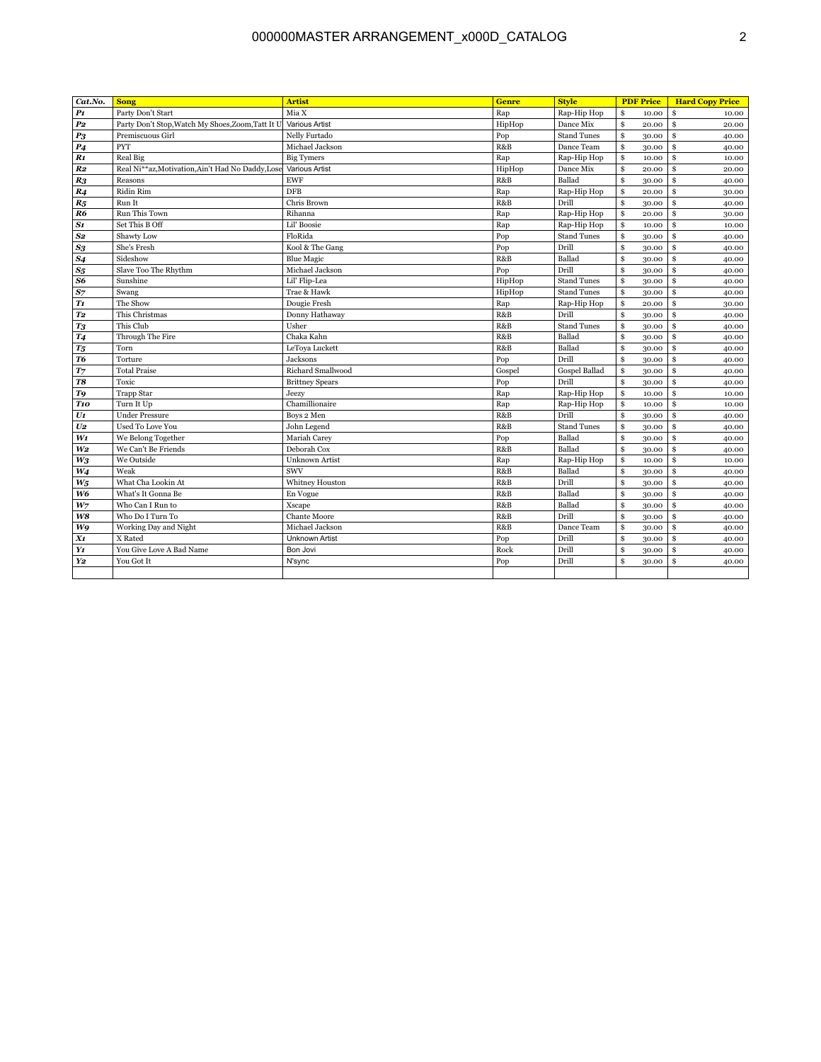## 000000MASTER ARRANGEMENT\_x000D\_CATALOG

| Cat.No.            | <b>Song</b>                                       | <b>Artist</b>          | <b>Genre</b> | <b>Style</b>         | <b>PDF Price</b> | <b>Hard Copy Price</b> |
|--------------------|---------------------------------------------------|------------------------|--------------|----------------------|------------------|------------------------|
| P <sub>1</sub>     | Party Don't Start                                 | Mia X                  | Rap          | Rap-Hip Hop          | \$<br>10.00      | \$<br>10.00            |
| $\boldsymbol{p_2}$ | Party Don't Stop, Watch My Shoes, Zoom, Tatt It U | <b>Various Artist</b>  | HipHop       | Dance Mix            | \$<br>20.00      | \$<br>20.00            |
| P <sub>3</sub>     | Premiscuous Girl                                  | Nelly Furtado          | Pop          | <b>Stand Tunes</b>   | \$<br>30.00      | \$<br>40.00            |
| P <sub>4</sub>     | <b>PYT</b>                                        | Michael Jackson        | R&B          | Dance Team           | \$<br>30.00      | \$<br>40.00            |
| R <sub>1</sub>     | Real Big                                          | <b>Big Tymers</b>      | Rap          | Rap-Hip Hop          | \$<br>10.00      | \$<br>10.00            |
| R <sub>2</sub>     | Real Ni**az, Motivation, Ain't Had No Daddy, Lose | <b>Various Artist</b>  | HipHop       | Dance Mix            | \$<br>20.00      | \$<br>20.00            |
| R <sub>3</sub>     | Reasons                                           | <b>EWF</b>             | R&B          | Ballad               | \$<br>30.00      | \$<br>40.00            |
| R <sub>4</sub>     | Ridin Rim                                         | <b>DFB</b>             | Rap          | Rap-Hip Hop          | \$<br>20.00      | \$<br>30.00            |
| $R_5$              | Run It                                            | Chris Brown            | R&B          | Drill                | \$<br>30.00      | \$<br>40.00            |
| R <sub>6</sub>     | <b>Run This Town</b>                              | Rihanna                | Rap          | Rap-Hip Hop          | \$<br>20.00      | \$<br>30.00            |
| S1                 | Set This B Off                                    | Lil' Boosie            | Rap          | Rap-Hip Hop          | \$<br>10.00      | \$<br>10.00            |
| $\bf S2$           | Shawty Low                                        | FloRida                | Pop          | <b>Stand Tunes</b>   | \$<br>30.00      | \$<br>40.00            |
| $\mathcal{S}3$     | She's Fresh                                       | Kool & The Gang        | Pop          | Drill                | \$<br>30.00      | \$<br>40.00            |
| S <sub>4</sub>     | Sideshow                                          | <b>Blue Magic</b>      | R&B          | Ballad               | \$<br>30.00      | \$<br>40.00            |
| $S_5$              | Slave Too The Rhythm                              | Michael Jackson        | Pop          | Drill                | \$<br>30.00      | \$<br>40.00            |
| S6                 | Sunshine                                          | Lil' Flip-Lea          | HipHop       | <b>Stand Tunes</b>   | \$<br>30.00      | \$<br>40.00            |
| S <sub>7</sub>     | Swang                                             | Trae & Hawk            | HipHop       | <b>Stand Tunes</b>   | \$<br>30.00      | \$<br>40.00            |
| T1                 | The Show                                          | Dougie Fresh           | Rap          | Rap-Hip Hop          | \$<br>20.00      | \$<br>30.00            |
| T2                 | This Christmas                                    | Donny Hathaway         | R&B          | Drill                | \$<br>30.00      | \$<br>40.00            |
| $T_3$              | This Club                                         | Usher                  | R&B          | <b>Stand Tunes</b>   | \$<br>30.00      | \$<br>40.00            |
| <b>T4</b>          | Through The Fire                                  | Chaka Kahn             | R&B          | Ballad               | \$<br>30.00      | \$<br>40.00            |
| $T_5$              | Torn                                              | LeTova Luckett         | R&B          | Ballad               | \$<br>30.00      | \$<br>40.00            |
| T6                 | Torture                                           | Jacksons               | Pop          | Drill                | \$<br>30.00      | \$<br>40.00            |
| $T$ 7              | <b>Total Praise</b>                               | Richard Smallwood      | Gospel       | <b>Gospel Ballad</b> | \$<br>30.00      | \$<br>40.00            |
| $\boldsymbol{T8}$  | Toxic                                             | <b>Brittney Spears</b> | Pop          | Drill                | \$<br>30.00      | \$<br>40.00            |
| T9                 | <b>Trapp Star</b>                                 | Jeezy                  | Rap          | Rap-Hip Hop          | \$<br>10.00      | \$<br>10.00            |
| T <sub>10</sub>    | Turn It Up                                        | Chamillionaire         | Rap          | Rap-Hip Hop          | \$<br>10.00      | \$<br>10.00            |
| $\boldsymbol{U1}$  | <b>Under Pressure</b>                             | Boys 2 Men             | R&B          | Drill                | \$<br>30.00      | \$<br>40.00            |
| U <sub>2</sub>     | <b>Used To Love You</b>                           | John Legend            | R&B          | <b>Stand Tunes</b>   | \$<br>30.00      | \$<br>40.00            |
| $W_1$              | We Belong Together                                | Mariah Carey           | Pop          | Ballad               | \$<br>30.00      | \$<br>40.00            |
| W <sub>2</sub>     | We Can't Be Friends                               | Deborah Cox            | R&B          | Ballad               | \$<br>30.00      | \$<br>40.00            |
| $W_3$              | We Outside                                        | <b>Unknown Artist</b>  | Rap          | Rap-Hip Hop          | \$<br>10.00      | \$<br>10.00            |
| W4                 | Weak                                              | <b>SWV</b>             | R&B          | Ballad               | \$<br>30.00      | \$<br>40.00            |
| $W_5$              | What Cha Lookin At                                | Whitney Houston        | R&B          | Drill                | \$<br>30.00      | \$<br>40.00            |
| W6                 | What's It Gonna Be                                | En Vogue               | R&B          | Ballad               | \$<br>30.00      | \$<br>40.00            |
| $W_7$              | Who Can I Run to                                  | <b>Xscape</b>          | R&B          | Ballad               | \$<br>30.00      | \$<br>40.00            |
| W8                 | Who Do I Turn To                                  | <b>Chante Moore</b>    | R&B          | Drill                | \$<br>30.00      | \$<br>40.00            |
| <b>W9</b>          | Working Day and Night                             | Michael Jackson        | R&B          | Dance Team           | \$<br>30.00      | \$<br>40.00            |
| X1                 | X Rated                                           | <b>Unknown Artist</b>  | Pop          | Drill                | \$<br>30.00      | \$<br>40.00            |
| Y1                 | You Give Love A Bad Name                          | Bon Jovi               | Rock         | Drill                | \$<br>30.00      | \$<br>40.00            |
| Y2                 | You Got It                                        | N'sync                 | Pop          | Drill                | \$<br>30.00      | \$<br>40.00            |
|                    |                                                   |                        |              |                      |                  |                        |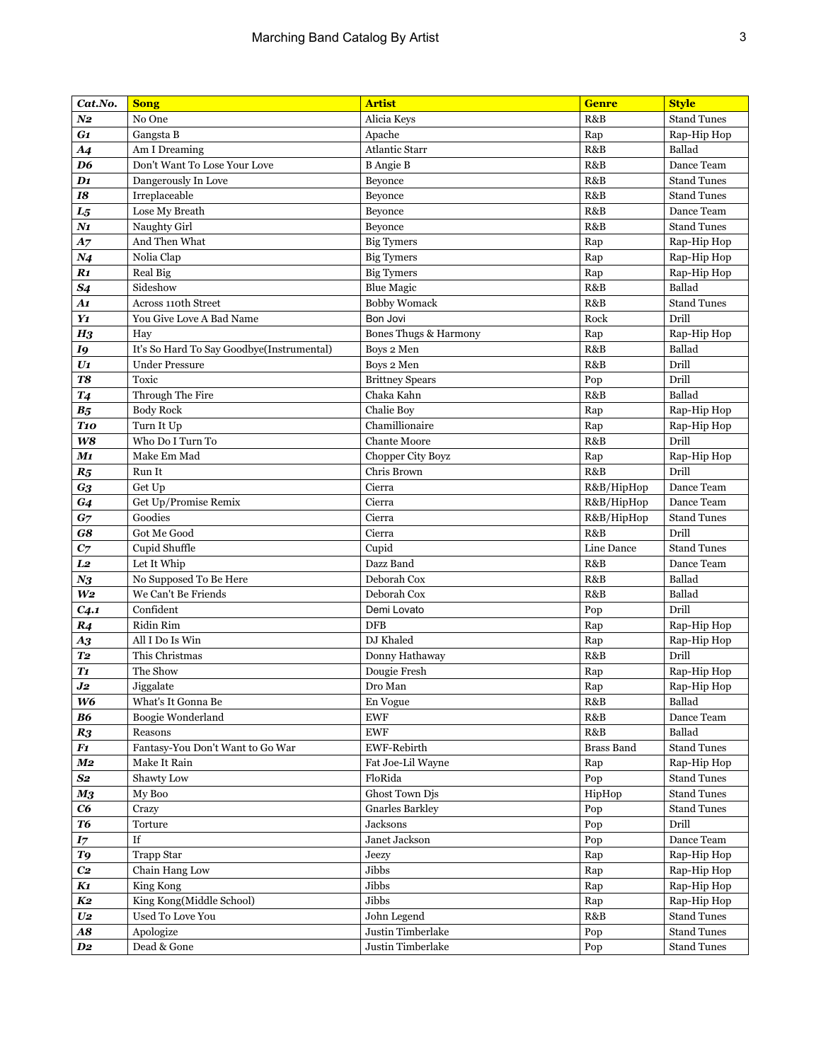| Cat.No.             | <b>Song</b>                               | <b>Artist</b>          | <b>Genre</b>      | <b>Style</b>       |
|---------------------|-------------------------------------------|------------------------|-------------------|--------------------|
| $N_{2}$             | No One                                    | Alicia Keys            | R&B               | <b>Stand Tunes</b> |
| G1                  | Gangsta B                                 | Apache                 | Rap               | Rap-Hip Hop        |
| <b>A4</b>           | Am I Dreaming                             | <b>Atlantic Starr</b>  | R&B               | Ballad             |
| D <sub>6</sub>      | Don't Want To Lose Your Love              | <b>B</b> Angie B       | R&B               | Dance Team         |
| $\mathbf{D1}$       | Dangerously In Love                       | Beyonce                | R&B               | <b>Stand Tunes</b> |
| 18                  | Irreplaceable                             | Beyonce                | R&B               | <b>Stand Tunes</b> |
| $L_{5}$             | Lose My Breath                            | Beyonce                | R&B               | Dance Team         |
| N1                  | Naughty Girl                              | Beyonce                | R&B               | <b>Stand Tunes</b> |
| <b>A7</b>           | And Then What                             | <b>Big Tymers</b>      | Rap               | Rap-Hip Hop        |
| N <sub>4</sub>      | Nolia Clap                                | <b>Big Tymers</b>      | Rap               | Rap-Hip Hop        |
| R1                  | Real Big                                  | <b>Big Tymers</b>      | Rap               | Rap-Hip Hop        |
| <b>S4</b>           | Sideshow                                  | <b>Blue Magic</b>      | R&B               | Ballad             |
| A1                  | Across 110th Street                       | <b>Bobby Womack</b>    | R&B               | <b>Stand Tunes</b> |
| Y1                  | You Give Love A Bad Name                  | Bon Jovi               | Rock              | Drill              |
| H <sub>3</sub>      | Hay                                       | Bones Thugs & Harmony  | Rap               | Rap-Hip Hop        |
| I9                  | It's So Hard To Say Goodbye(Instrumental) | Boys 2 Men             | R&B               | Ballad             |
| $U_1$               | <b>Under Pressure</b>                     | Boys 2 Men             | R&B               | Drill              |
| <b>T8</b>           | Toxic                                     | <b>Brittney Spears</b> | Pop               | Drill              |
| T <sub>4</sub>      | Through The Fire                          | Chaka Kahn             | R&B               | Ballad             |
| $B_5$               | <b>Body Rock</b>                          | Chalie Boy             | Rap               | Rap-Hip Hop        |
| <b>T10</b>          | Turn It Up                                | Chamillionaire         | Rap               | Rap-Hip Hop        |
| W8                  | Who Do I Turn To                          | <b>Chante Moore</b>    | R&B               | Drill              |
| $\boldsymbol{M1}$   | Make Em Mad                               | Chopper City Boyz      | Rap               | Rap-Hip Hop        |
| $R_5$               | Run It                                    | Chris Brown            | R&B               | Drill              |
| G3                  | Get Up                                    | Cierra                 | R&B/HipHop        | Dance Team         |
| G4                  | Get Up/Promise Remix                      | Cierra                 | R&B/HipHop        | Dance Team         |
| $G_7$               | Goodies                                   | Cierra                 | R&B/HipHop        | <b>Stand Tunes</b> |
| G8                  | Got Me Good                               | Cierra                 | R&B               | Drill              |
| C <sub>7</sub>      | Cupid Shuffle                             | Cupid                  | Line Dance        | <b>Stand Tunes</b> |
| L <sub>2</sub>      | Let It Whip                               | Dazz Band              | R&B               | Dance Team         |
| $N_{3}$             | No Supposed To Be Here                    | Deborah Cox            | R&B               | Ballad             |
| $\boldsymbol{W\!2}$ | We Can't Be Friends                       | Deborah Cox            | R&B               | Ballad             |
| C <sub>4.1</sub>    | Confident                                 | Demi Lovato            | Pop               | Drill              |
| R <sub>4</sub>      | Ridin Rim                                 | <b>DFB</b>             | Rap               | Rap-Hip Hop        |
| A3                  | All I Do Is Win                           | DJ Khaled              | Rap               | Rap-Hip Hop        |
| T <sub>2</sub>      | This Christmas                            | Donny Hathaway         | R&B               | Drill              |
| T <sub>1</sub>      | The Show                                  | Dougie Fresh           | Rap               | Rap-Hip Hop        |
| J2                  | Jiggalate                                 | Dro Man                | Rap               | Rap-Hip Hop        |
| W6                  | What's It Gonna Be                        | En Vogue               | R&B               | Ballad             |
| <b>B6</b>           | Boogie Wonderland                         | <b>EWF</b>             | R&B               | Dance Team         |
| R <sub>3</sub>      | Reasons                                   | <b>EWF</b>             | R&B               | Ballad             |
| F1                  | Fantasy-You Don't Want to Go War          | EWF-Rebirth            | <b>Brass Band</b> | <b>Stand Tunes</b> |
| M2                  | Make It Rain                              | Fat Joe-Lil Wayne      | Rap               | Rap-Hip Hop        |
| S2                  | Shawty Low                                | FloRida                | Pop               | <b>Stand Tunes</b> |
| M <sub>3</sub>      | My Boo                                    | Ghost Town Djs         | HipHop            | <b>Stand Tunes</b> |
| C6                  | Crazy                                     | <b>Gnarles Barkley</b> | Pop               | <b>Stand Tunes</b> |
| <b>T6</b>           | Torture                                   | Jacksons               | Pop               | Drill              |
| $I\!\!{}^\mathbf{}$ | If                                        | Janet Jackson          | Pop               | Dance Team         |
| T9                  | <b>Trapp Star</b>                         | Jeezy                  | Rap               | Rap-Hip Hop        |
| C <sub>2</sub>      | Chain Hang Low                            | Jibbs                  | Rap               | Rap-Hip Hop        |
| K1                  | King Kong                                 | Jibbs                  | Rap               | Rap-Hip Hop        |
| K2                  | King Kong(Middle School)                  | Jibbs                  | Rap               | Rap-Hip Hop        |
| $U\!2$              | Used To Love You                          | John Legend            | R&B               | <b>Stand Tunes</b> |
| A8                  | Apologize                                 | Justin Timberlake      | Pop               | <b>Stand Tunes</b> |
| D2                  | Dead & Gone                               | Justin Timberlake      | Pop               | <b>Stand Tunes</b> |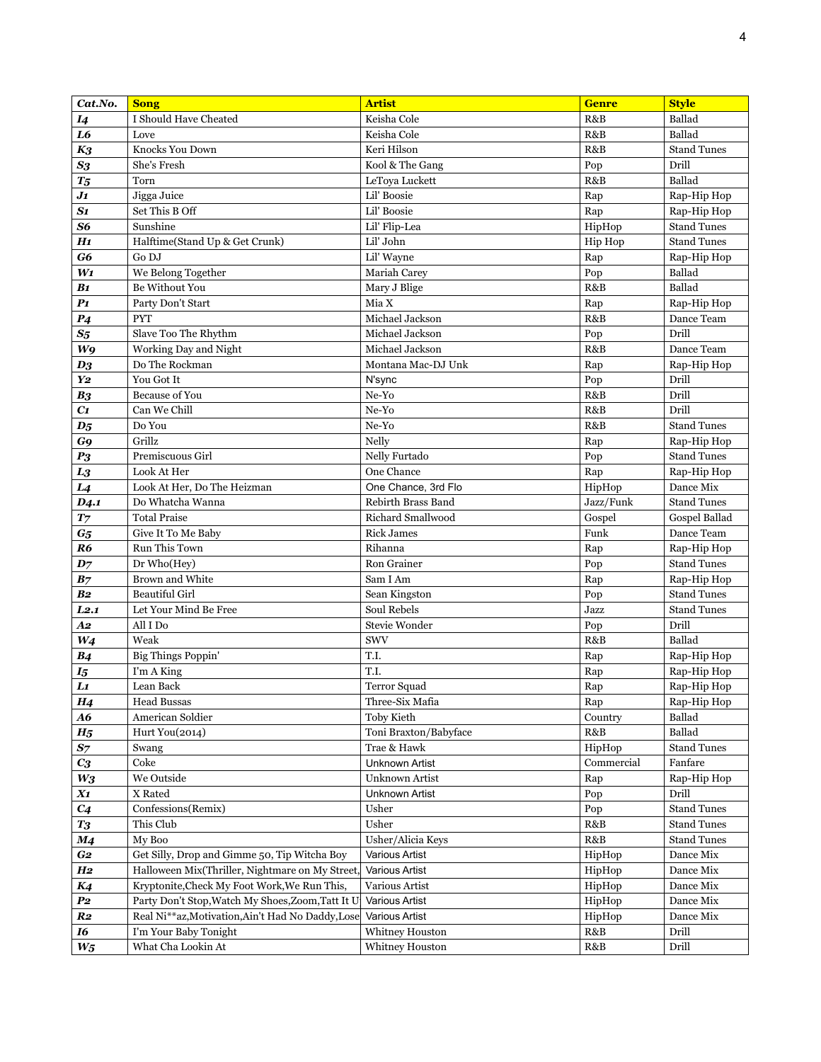| I Should Have Cheated<br>Keisha Cole<br>Ballad<br>I4<br>R&B<br>$\bf{L6}$<br>Ballad<br>Keisha Cole<br>R&B<br>Love<br>Keri Hilson<br><b>Stand Tunes</b><br>$K_3$<br>Knocks You Down<br>R&B<br>Drill<br>$S_3$<br>She's Fresh<br>Kool & The Gang<br>Pop<br>Ballad<br>LeToya Luckett<br>R&B<br>$T_5$<br>Torn<br>Lil' Boosie<br>Jigga Juice<br>J1<br>Rap<br>Rap-Hip Hop<br>S1<br>Set This B Off<br>Lil' Boosie<br>Rap<br>Rap-Hip Hop<br>S6<br>Sunshine<br><b>Stand Tunes</b><br>Lil' Flip-Lea<br>HipHop<br>H1<br>Lil' John<br><b>Stand Tunes</b><br>Halftime(Stand Up & Get Crunk)<br>Hip Hop<br>Lil' Wayne<br>G6<br>Go DJ<br>Rap<br>Rap-Hip Hop<br>Pop<br>$W_1$<br>We Belong Together<br>Mariah Carey<br>Ballad<br>Be Without You<br>R&B<br>Ballad<br>B <sub>1</sub><br>Mary J Blige<br>P1<br>Mia X<br>Party Don't Start<br>Rap<br>Rap-Hip Hop<br>R&B<br>P <sub>4</sub><br><b>PYT</b><br>Michael Jackson<br>Dance Team<br>Drill<br>$S_5$<br>Slave Too The Rhythm<br>Michael Jackson<br>Pop<br>W <sub>9</sub><br>Working Day and Night<br>R&B<br>Dance Team<br>Michael Jackson<br>$D_3$<br>Do The Rockman<br>Montana Mac-DJ Unk<br>Rap<br>Rap-Hip Hop<br>Drill<br>Y2<br>You Got It<br>N'sync<br>Pop<br>Drill<br>$\rm Ne\text{-}Yo$<br>R&B<br>B <sub>3</sub><br><b>Because of You</b><br>$C_{1}$<br>Can We Chill<br>Ne-Yo<br>R&B<br>Drill<br><b>Stand Tunes</b><br>$\boldsymbol{D_5}$<br>Do You<br>Ne-Yo<br>R&B<br>G9<br>Grillz<br>Nelly<br>Rap<br>Rap-Hip Hop<br>P <sub>3</sub><br>Nelly Furtado<br>Premiscuous Girl<br>Pop<br><b>Stand Tunes</b><br>One Chance<br>Look At Her<br>Rap<br>Rap-Hip Hop<br>$\boldsymbol{L3}$<br>L <sub>4</sub><br>Look At Her, Do The Heizman<br>One Chance, 3rd Flo<br>HipHop<br>Dance Mix<br>Do Whatcha Wanna<br>Rebirth Brass Band<br>Jazz/Funk<br><b>Stand Tunes</b><br>D <sub>4</sub> .1<br>$T$ 7<br><b>Total Praise</b><br>Richard Smallwood<br>Gospel<br>Gospel Ballad<br><b>Rick James</b><br>Funk<br>$G_5$<br>Give It To Me Baby<br>Dance Team<br>R6<br>Run This Town<br>Rihanna<br>Rap<br>Rap-Hip Hop<br>Pop<br><b>Stand Tunes</b><br>$D_7$<br>Dr Who(Hey)<br>Ron Grainer<br>B <sub>7</sub><br>Brown and White<br>Sam I Am<br>Rap<br>Rap-Hip Hop<br><b>Beautiful Girl</b><br>Pop<br><b>Stand Tunes</b><br><b>B2</b><br>Sean Kingston<br>Soul Rebels<br>Jazz<br><b>Stand Tunes</b><br>L2.1<br>Let Your Mind Be Free<br>Drill<br>$\bm{A2}$<br>All I Do<br>Stevie Wonder<br>Pop<br>Ballad<br>$W_4$<br>Weak<br>SWV<br>R&B<br>T.I.<br><b>B4</b><br><b>Big Things Poppin'</b><br>Rap<br>Rap-Hip Hop<br>T.I.<br>I'm A King<br>Rap<br>Rap-Hip Hop<br>$I_5$<br>Lı<br>Lean Back<br><b>Terror Squad</b><br>Rap<br>Rap-Hip Hop<br><b>Head Bussas</b><br>Three-Six Mafia<br>Rap-Hip Hop<br>H <sub>4</sub><br>Rap<br>American Soldier<br>Ballad<br><b>A6</b><br>Toby Kieth<br>Country<br>Ballad<br>R&B<br>$H_5$<br>Hurt You(2014)<br>Toni Braxton/Babyface<br>Trae & Hawk<br>HipHop<br><b>Stand Tunes</b><br>$S_{7}$<br>Swang<br>Coke<br><b>Unknown Artist</b><br>Commercial<br>Fanfare<br>$C_3$<br>We Outside<br>$W_3$<br>Unknown Artist<br>Rap<br>Rap-Hip Hop<br>Unknown Artist<br>Drill<br>X1<br>X Rated<br>Pop<br>Confessions(Remix)<br>Usher<br><b>Stand Tunes</b><br>C <sub>4</sub><br>Pop<br>Usher<br>$T_3$<br>This Club<br>R&B<br><b>Stand Tunes</b><br>Usher/Alicia Keys<br>R&B<br><b>Stand Tunes</b><br>M <sub>4</sub><br>My Boo<br>Get Silly, Drop and Gimme 50, Tip Witcha Boy<br>G <sub>2</sub><br>Dance Mix<br><b>Various Artist</b><br>HipHop<br>Halloween Mix(Thriller, Nightmare on My Street,<br>Dance Mix<br>H <sub>2</sub><br><b>Various Artist</b><br>HipHop<br>Kryptonite, Check My Foot Work, We Run This,<br>Various Artist<br>K4<br>HipHop<br>Dance Mix<br>Party Don't Stop, Watch My Shoes, Zoom, Tatt It U<br>$P_{2}$<br>Various Artist<br>HipHop<br>Dance Mix<br>Real Ni**az, Motivation, Ain't Had No Daddy, Lose<br><b>Various Artist</b><br>HipHop<br>Dance Mix<br>$\boldsymbol{R2}$<br>I'm Your Baby Tonight<br>Whitney Houston<br>Drill<br>16<br>R&B | Cat.No. | <b>Song</b>        | <b>Artist</b>   | <b>Genre</b> | <b>Style</b> |
|----------------------------------------------------------------------------------------------------------------------------------------------------------------------------------------------------------------------------------------------------------------------------------------------------------------------------------------------------------------------------------------------------------------------------------------------------------------------------------------------------------------------------------------------------------------------------------------------------------------------------------------------------------------------------------------------------------------------------------------------------------------------------------------------------------------------------------------------------------------------------------------------------------------------------------------------------------------------------------------------------------------------------------------------------------------------------------------------------------------------------------------------------------------------------------------------------------------------------------------------------------------------------------------------------------------------------------------------------------------------------------------------------------------------------------------------------------------------------------------------------------------------------------------------------------------------------------------------------------------------------------------------------------------------------------------------------------------------------------------------------------------------------------------------------------------------------------------------------------------------------------------------------------------------------------------------------------------------------------------------------------------------------------------------------------------------------------------------------------------------------------------------------------------------------------------------------------------------------------------------------------------------------------------------------------------------------------------------------------------------------------------------------------------------------------------------------------------------------------------------------------------------------------------------------------------------------------------------------------------------------------------------------------------------------------------------------------------------------------------------------------------------------------------------------------------------------------------------------------------------------------------------------------------------------------------------------------------------------------------------------------------------------------------------------------------------------------------------------------------------------------------------------------------------------------------------------------------------------------------------------------------------------------------------------------------------------------------------------------------------------------------------------------------------------------------------------------------------------------------------------------------------------------------------------------------------------------------------------------------------------------------------------------------------------------------------------------------------------------------------------------------------------------------------------------------------------------------------------------------------------------------------------------------------------------------------------------------------------------------------------------|---------|--------------------|-----------------|--------------|--------------|
|                                                                                                                                                                                                                                                                                                                                                                                                                                                                                                                                                                                                                                                                                                                                                                                                                                                                                                                                                                                                                                                                                                                                                                                                                                                                                                                                                                                                                                                                                                                                                                                                                                                                                                                                                                                                                                                                                                                                                                                                                                                                                                                                                                                                                                                                                                                                                                                                                                                                                                                                                                                                                                                                                                                                                                                                                                                                                                                                                                                                                                                                                                                                                                                                                                                                                                                                                                                                                                                                                                                                                                                                                                                                                                                                                                                                                                                                                                                                                                                                          |         |                    |                 |              |              |
|                                                                                                                                                                                                                                                                                                                                                                                                                                                                                                                                                                                                                                                                                                                                                                                                                                                                                                                                                                                                                                                                                                                                                                                                                                                                                                                                                                                                                                                                                                                                                                                                                                                                                                                                                                                                                                                                                                                                                                                                                                                                                                                                                                                                                                                                                                                                                                                                                                                                                                                                                                                                                                                                                                                                                                                                                                                                                                                                                                                                                                                                                                                                                                                                                                                                                                                                                                                                                                                                                                                                                                                                                                                                                                                                                                                                                                                                                                                                                                                                          |         |                    |                 |              |              |
|                                                                                                                                                                                                                                                                                                                                                                                                                                                                                                                                                                                                                                                                                                                                                                                                                                                                                                                                                                                                                                                                                                                                                                                                                                                                                                                                                                                                                                                                                                                                                                                                                                                                                                                                                                                                                                                                                                                                                                                                                                                                                                                                                                                                                                                                                                                                                                                                                                                                                                                                                                                                                                                                                                                                                                                                                                                                                                                                                                                                                                                                                                                                                                                                                                                                                                                                                                                                                                                                                                                                                                                                                                                                                                                                                                                                                                                                                                                                                                                                          |         |                    |                 |              |              |
|                                                                                                                                                                                                                                                                                                                                                                                                                                                                                                                                                                                                                                                                                                                                                                                                                                                                                                                                                                                                                                                                                                                                                                                                                                                                                                                                                                                                                                                                                                                                                                                                                                                                                                                                                                                                                                                                                                                                                                                                                                                                                                                                                                                                                                                                                                                                                                                                                                                                                                                                                                                                                                                                                                                                                                                                                                                                                                                                                                                                                                                                                                                                                                                                                                                                                                                                                                                                                                                                                                                                                                                                                                                                                                                                                                                                                                                                                                                                                                                                          |         |                    |                 |              |              |
|                                                                                                                                                                                                                                                                                                                                                                                                                                                                                                                                                                                                                                                                                                                                                                                                                                                                                                                                                                                                                                                                                                                                                                                                                                                                                                                                                                                                                                                                                                                                                                                                                                                                                                                                                                                                                                                                                                                                                                                                                                                                                                                                                                                                                                                                                                                                                                                                                                                                                                                                                                                                                                                                                                                                                                                                                                                                                                                                                                                                                                                                                                                                                                                                                                                                                                                                                                                                                                                                                                                                                                                                                                                                                                                                                                                                                                                                                                                                                                                                          |         |                    |                 |              |              |
|                                                                                                                                                                                                                                                                                                                                                                                                                                                                                                                                                                                                                                                                                                                                                                                                                                                                                                                                                                                                                                                                                                                                                                                                                                                                                                                                                                                                                                                                                                                                                                                                                                                                                                                                                                                                                                                                                                                                                                                                                                                                                                                                                                                                                                                                                                                                                                                                                                                                                                                                                                                                                                                                                                                                                                                                                                                                                                                                                                                                                                                                                                                                                                                                                                                                                                                                                                                                                                                                                                                                                                                                                                                                                                                                                                                                                                                                                                                                                                                                          |         |                    |                 |              |              |
|                                                                                                                                                                                                                                                                                                                                                                                                                                                                                                                                                                                                                                                                                                                                                                                                                                                                                                                                                                                                                                                                                                                                                                                                                                                                                                                                                                                                                                                                                                                                                                                                                                                                                                                                                                                                                                                                                                                                                                                                                                                                                                                                                                                                                                                                                                                                                                                                                                                                                                                                                                                                                                                                                                                                                                                                                                                                                                                                                                                                                                                                                                                                                                                                                                                                                                                                                                                                                                                                                                                                                                                                                                                                                                                                                                                                                                                                                                                                                                                                          |         |                    |                 |              |              |
|                                                                                                                                                                                                                                                                                                                                                                                                                                                                                                                                                                                                                                                                                                                                                                                                                                                                                                                                                                                                                                                                                                                                                                                                                                                                                                                                                                                                                                                                                                                                                                                                                                                                                                                                                                                                                                                                                                                                                                                                                                                                                                                                                                                                                                                                                                                                                                                                                                                                                                                                                                                                                                                                                                                                                                                                                                                                                                                                                                                                                                                                                                                                                                                                                                                                                                                                                                                                                                                                                                                                                                                                                                                                                                                                                                                                                                                                                                                                                                                                          |         |                    |                 |              |              |
|                                                                                                                                                                                                                                                                                                                                                                                                                                                                                                                                                                                                                                                                                                                                                                                                                                                                                                                                                                                                                                                                                                                                                                                                                                                                                                                                                                                                                                                                                                                                                                                                                                                                                                                                                                                                                                                                                                                                                                                                                                                                                                                                                                                                                                                                                                                                                                                                                                                                                                                                                                                                                                                                                                                                                                                                                                                                                                                                                                                                                                                                                                                                                                                                                                                                                                                                                                                                                                                                                                                                                                                                                                                                                                                                                                                                                                                                                                                                                                                                          |         |                    |                 |              |              |
|                                                                                                                                                                                                                                                                                                                                                                                                                                                                                                                                                                                                                                                                                                                                                                                                                                                                                                                                                                                                                                                                                                                                                                                                                                                                                                                                                                                                                                                                                                                                                                                                                                                                                                                                                                                                                                                                                                                                                                                                                                                                                                                                                                                                                                                                                                                                                                                                                                                                                                                                                                                                                                                                                                                                                                                                                                                                                                                                                                                                                                                                                                                                                                                                                                                                                                                                                                                                                                                                                                                                                                                                                                                                                                                                                                                                                                                                                                                                                                                                          |         |                    |                 |              |              |
|                                                                                                                                                                                                                                                                                                                                                                                                                                                                                                                                                                                                                                                                                                                                                                                                                                                                                                                                                                                                                                                                                                                                                                                                                                                                                                                                                                                                                                                                                                                                                                                                                                                                                                                                                                                                                                                                                                                                                                                                                                                                                                                                                                                                                                                                                                                                                                                                                                                                                                                                                                                                                                                                                                                                                                                                                                                                                                                                                                                                                                                                                                                                                                                                                                                                                                                                                                                                                                                                                                                                                                                                                                                                                                                                                                                                                                                                                                                                                                                                          |         |                    |                 |              |              |
|                                                                                                                                                                                                                                                                                                                                                                                                                                                                                                                                                                                                                                                                                                                                                                                                                                                                                                                                                                                                                                                                                                                                                                                                                                                                                                                                                                                                                                                                                                                                                                                                                                                                                                                                                                                                                                                                                                                                                                                                                                                                                                                                                                                                                                                                                                                                                                                                                                                                                                                                                                                                                                                                                                                                                                                                                                                                                                                                                                                                                                                                                                                                                                                                                                                                                                                                                                                                                                                                                                                                                                                                                                                                                                                                                                                                                                                                                                                                                                                                          |         |                    |                 |              |              |
|                                                                                                                                                                                                                                                                                                                                                                                                                                                                                                                                                                                                                                                                                                                                                                                                                                                                                                                                                                                                                                                                                                                                                                                                                                                                                                                                                                                                                                                                                                                                                                                                                                                                                                                                                                                                                                                                                                                                                                                                                                                                                                                                                                                                                                                                                                                                                                                                                                                                                                                                                                                                                                                                                                                                                                                                                                                                                                                                                                                                                                                                                                                                                                                                                                                                                                                                                                                                                                                                                                                                                                                                                                                                                                                                                                                                                                                                                                                                                                                                          |         |                    |                 |              |              |
|                                                                                                                                                                                                                                                                                                                                                                                                                                                                                                                                                                                                                                                                                                                                                                                                                                                                                                                                                                                                                                                                                                                                                                                                                                                                                                                                                                                                                                                                                                                                                                                                                                                                                                                                                                                                                                                                                                                                                                                                                                                                                                                                                                                                                                                                                                                                                                                                                                                                                                                                                                                                                                                                                                                                                                                                                                                                                                                                                                                                                                                                                                                                                                                                                                                                                                                                                                                                                                                                                                                                                                                                                                                                                                                                                                                                                                                                                                                                                                                                          |         |                    |                 |              |              |
|                                                                                                                                                                                                                                                                                                                                                                                                                                                                                                                                                                                                                                                                                                                                                                                                                                                                                                                                                                                                                                                                                                                                                                                                                                                                                                                                                                                                                                                                                                                                                                                                                                                                                                                                                                                                                                                                                                                                                                                                                                                                                                                                                                                                                                                                                                                                                                                                                                                                                                                                                                                                                                                                                                                                                                                                                                                                                                                                                                                                                                                                                                                                                                                                                                                                                                                                                                                                                                                                                                                                                                                                                                                                                                                                                                                                                                                                                                                                                                                                          |         |                    |                 |              |              |
|                                                                                                                                                                                                                                                                                                                                                                                                                                                                                                                                                                                                                                                                                                                                                                                                                                                                                                                                                                                                                                                                                                                                                                                                                                                                                                                                                                                                                                                                                                                                                                                                                                                                                                                                                                                                                                                                                                                                                                                                                                                                                                                                                                                                                                                                                                                                                                                                                                                                                                                                                                                                                                                                                                                                                                                                                                                                                                                                                                                                                                                                                                                                                                                                                                                                                                                                                                                                                                                                                                                                                                                                                                                                                                                                                                                                                                                                                                                                                                                                          |         |                    |                 |              |              |
|                                                                                                                                                                                                                                                                                                                                                                                                                                                                                                                                                                                                                                                                                                                                                                                                                                                                                                                                                                                                                                                                                                                                                                                                                                                                                                                                                                                                                                                                                                                                                                                                                                                                                                                                                                                                                                                                                                                                                                                                                                                                                                                                                                                                                                                                                                                                                                                                                                                                                                                                                                                                                                                                                                                                                                                                                                                                                                                                                                                                                                                                                                                                                                                                                                                                                                                                                                                                                                                                                                                                                                                                                                                                                                                                                                                                                                                                                                                                                                                                          |         |                    |                 |              |              |
|                                                                                                                                                                                                                                                                                                                                                                                                                                                                                                                                                                                                                                                                                                                                                                                                                                                                                                                                                                                                                                                                                                                                                                                                                                                                                                                                                                                                                                                                                                                                                                                                                                                                                                                                                                                                                                                                                                                                                                                                                                                                                                                                                                                                                                                                                                                                                                                                                                                                                                                                                                                                                                                                                                                                                                                                                                                                                                                                                                                                                                                                                                                                                                                                                                                                                                                                                                                                                                                                                                                                                                                                                                                                                                                                                                                                                                                                                                                                                                                                          |         |                    |                 |              |              |
|                                                                                                                                                                                                                                                                                                                                                                                                                                                                                                                                                                                                                                                                                                                                                                                                                                                                                                                                                                                                                                                                                                                                                                                                                                                                                                                                                                                                                                                                                                                                                                                                                                                                                                                                                                                                                                                                                                                                                                                                                                                                                                                                                                                                                                                                                                                                                                                                                                                                                                                                                                                                                                                                                                                                                                                                                                                                                                                                                                                                                                                                                                                                                                                                                                                                                                                                                                                                                                                                                                                                                                                                                                                                                                                                                                                                                                                                                                                                                                                                          |         |                    |                 |              |              |
|                                                                                                                                                                                                                                                                                                                                                                                                                                                                                                                                                                                                                                                                                                                                                                                                                                                                                                                                                                                                                                                                                                                                                                                                                                                                                                                                                                                                                                                                                                                                                                                                                                                                                                                                                                                                                                                                                                                                                                                                                                                                                                                                                                                                                                                                                                                                                                                                                                                                                                                                                                                                                                                                                                                                                                                                                                                                                                                                                                                                                                                                                                                                                                                                                                                                                                                                                                                                                                                                                                                                                                                                                                                                                                                                                                                                                                                                                                                                                                                                          |         |                    |                 |              |              |
|                                                                                                                                                                                                                                                                                                                                                                                                                                                                                                                                                                                                                                                                                                                                                                                                                                                                                                                                                                                                                                                                                                                                                                                                                                                                                                                                                                                                                                                                                                                                                                                                                                                                                                                                                                                                                                                                                                                                                                                                                                                                                                                                                                                                                                                                                                                                                                                                                                                                                                                                                                                                                                                                                                                                                                                                                                                                                                                                                                                                                                                                                                                                                                                                                                                                                                                                                                                                                                                                                                                                                                                                                                                                                                                                                                                                                                                                                                                                                                                                          |         |                    |                 |              |              |
|                                                                                                                                                                                                                                                                                                                                                                                                                                                                                                                                                                                                                                                                                                                                                                                                                                                                                                                                                                                                                                                                                                                                                                                                                                                                                                                                                                                                                                                                                                                                                                                                                                                                                                                                                                                                                                                                                                                                                                                                                                                                                                                                                                                                                                                                                                                                                                                                                                                                                                                                                                                                                                                                                                                                                                                                                                                                                                                                                                                                                                                                                                                                                                                                                                                                                                                                                                                                                                                                                                                                                                                                                                                                                                                                                                                                                                                                                                                                                                                                          |         |                    |                 |              |              |
|                                                                                                                                                                                                                                                                                                                                                                                                                                                                                                                                                                                                                                                                                                                                                                                                                                                                                                                                                                                                                                                                                                                                                                                                                                                                                                                                                                                                                                                                                                                                                                                                                                                                                                                                                                                                                                                                                                                                                                                                                                                                                                                                                                                                                                                                                                                                                                                                                                                                                                                                                                                                                                                                                                                                                                                                                                                                                                                                                                                                                                                                                                                                                                                                                                                                                                                                                                                                                                                                                                                                                                                                                                                                                                                                                                                                                                                                                                                                                                                                          |         |                    |                 |              |              |
|                                                                                                                                                                                                                                                                                                                                                                                                                                                                                                                                                                                                                                                                                                                                                                                                                                                                                                                                                                                                                                                                                                                                                                                                                                                                                                                                                                                                                                                                                                                                                                                                                                                                                                                                                                                                                                                                                                                                                                                                                                                                                                                                                                                                                                                                                                                                                                                                                                                                                                                                                                                                                                                                                                                                                                                                                                                                                                                                                                                                                                                                                                                                                                                                                                                                                                                                                                                                                                                                                                                                                                                                                                                                                                                                                                                                                                                                                                                                                                                                          |         |                    |                 |              |              |
|                                                                                                                                                                                                                                                                                                                                                                                                                                                                                                                                                                                                                                                                                                                                                                                                                                                                                                                                                                                                                                                                                                                                                                                                                                                                                                                                                                                                                                                                                                                                                                                                                                                                                                                                                                                                                                                                                                                                                                                                                                                                                                                                                                                                                                                                                                                                                                                                                                                                                                                                                                                                                                                                                                                                                                                                                                                                                                                                                                                                                                                                                                                                                                                                                                                                                                                                                                                                                                                                                                                                                                                                                                                                                                                                                                                                                                                                                                                                                                                                          |         |                    |                 |              |              |
|                                                                                                                                                                                                                                                                                                                                                                                                                                                                                                                                                                                                                                                                                                                                                                                                                                                                                                                                                                                                                                                                                                                                                                                                                                                                                                                                                                                                                                                                                                                                                                                                                                                                                                                                                                                                                                                                                                                                                                                                                                                                                                                                                                                                                                                                                                                                                                                                                                                                                                                                                                                                                                                                                                                                                                                                                                                                                                                                                                                                                                                                                                                                                                                                                                                                                                                                                                                                                                                                                                                                                                                                                                                                                                                                                                                                                                                                                                                                                                                                          |         |                    |                 |              |              |
|                                                                                                                                                                                                                                                                                                                                                                                                                                                                                                                                                                                                                                                                                                                                                                                                                                                                                                                                                                                                                                                                                                                                                                                                                                                                                                                                                                                                                                                                                                                                                                                                                                                                                                                                                                                                                                                                                                                                                                                                                                                                                                                                                                                                                                                                                                                                                                                                                                                                                                                                                                                                                                                                                                                                                                                                                                                                                                                                                                                                                                                                                                                                                                                                                                                                                                                                                                                                                                                                                                                                                                                                                                                                                                                                                                                                                                                                                                                                                                                                          |         |                    |                 |              |              |
|                                                                                                                                                                                                                                                                                                                                                                                                                                                                                                                                                                                                                                                                                                                                                                                                                                                                                                                                                                                                                                                                                                                                                                                                                                                                                                                                                                                                                                                                                                                                                                                                                                                                                                                                                                                                                                                                                                                                                                                                                                                                                                                                                                                                                                                                                                                                                                                                                                                                                                                                                                                                                                                                                                                                                                                                                                                                                                                                                                                                                                                                                                                                                                                                                                                                                                                                                                                                                                                                                                                                                                                                                                                                                                                                                                                                                                                                                                                                                                                                          |         |                    |                 |              |              |
|                                                                                                                                                                                                                                                                                                                                                                                                                                                                                                                                                                                                                                                                                                                                                                                                                                                                                                                                                                                                                                                                                                                                                                                                                                                                                                                                                                                                                                                                                                                                                                                                                                                                                                                                                                                                                                                                                                                                                                                                                                                                                                                                                                                                                                                                                                                                                                                                                                                                                                                                                                                                                                                                                                                                                                                                                                                                                                                                                                                                                                                                                                                                                                                                                                                                                                                                                                                                                                                                                                                                                                                                                                                                                                                                                                                                                                                                                                                                                                                                          |         |                    |                 |              |              |
|                                                                                                                                                                                                                                                                                                                                                                                                                                                                                                                                                                                                                                                                                                                                                                                                                                                                                                                                                                                                                                                                                                                                                                                                                                                                                                                                                                                                                                                                                                                                                                                                                                                                                                                                                                                                                                                                                                                                                                                                                                                                                                                                                                                                                                                                                                                                                                                                                                                                                                                                                                                                                                                                                                                                                                                                                                                                                                                                                                                                                                                                                                                                                                                                                                                                                                                                                                                                                                                                                                                                                                                                                                                                                                                                                                                                                                                                                                                                                                                                          |         |                    |                 |              |              |
|                                                                                                                                                                                                                                                                                                                                                                                                                                                                                                                                                                                                                                                                                                                                                                                                                                                                                                                                                                                                                                                                                                                                                                                                                                                                                                                                                                                                                                                                                                                                                                                                                                                                                                                                                                                                                                                                                                                                                                                                                                                                                                                                                                                                                                                                                                                                                                                                                                                                                                                                                                                                                                                                                                                                                                                                                                                                                                                                                                                                                                                                                                                                                                                                                                                                                                                                                                                                                                                                                                                                                                                                                                                                                                                                                                                                                                                                                                                                                                                                          |         |                    |                 |              |              |
|                                                                                                                                                                                                                                                                                                                                                                                                                                                                                                                                                                                                                                                                                                                                                                                                                                                                                                                                                                                                                                                                                                                                                                                                                                                                                                                                                                                                                                                                                                                                                                                                                                                                                                                                                                                                                                                                                                                                                                                                                                                                                                                                                                                                                                                                                                                                                                                                                                                                                                                                                                                                                                                                                                                                                                                                                                                                                                                                                                                                                                                                                                                                                                                                                                                                                                                                                                                                                                                                                                                                                                                                                                                                                                                                                                                                                                                                                                                                                                                                          |         |                    |                 |              |              |
|                                                                                                                                                                                                                                                                                                                                                                                                                                                                                                                                                                                                                                                                                                                                                                                                                                                                                                                                                                                                                                                                                                                                                                                                                                                                                                                                                                                                                                                                                                                                                                                                                                                                                                                                                                                                                                                                                                                                                                                                                                                                                                                                                                                                                                                                                                                                                                                                                                                                                                                                                                                                                                                                                                                                                                                                                                                                                                                                                                                                                                                                                                                                                                                                                                                                                                                                                                                                                                                                                                                                                                                                                                                                                                                                                                                                                                                                                                                                                                                                          |         |                    |                 |              |              |
|                                                                                                                                                                                                                                                                                                                                                                                                                                                                                                                                                                                                                                                                                                                                                                                                                                                                                                                                                                                                                                                                                                                                                                                                                                                                                                                                                                                                                                                                                                                                                                                                                                                                                                                                                                                                                                                                                                                                                                                                                                                                                                                                                                                                                                                                                                                                                                                                                                                                                                                                                                                                                                                                                                                                                                                                                                                                                                                                                                                                                                                                                                                                                                                                                                                                                                                                                                                                                                                                                                                                                                                                                                                                                                                                                                                                                                                                                                                                                                                                          |         |                    |                 |              |              |
|                                                                                                                                                                                                                                                                                                                                                                                                                                                                                                                                                                                                                                                                                                                                                                                                                                                                                                                                                                                                                                                                                                                                                                                                                                                                                                                                                                                                                                                                                                                                                                                                                                                                                                                                                                                                                                                                                                                                                                                                                                                                                                                                                                                                                                                                                                                                                                                                                                                                                                                                                                                                                                                                                                                                                                                                                                                                                                                                                                                                                                                                                                                                                                                                                                                                                                                                                                                                                                                                                                                                                                                                                                                                                                                                                                                                                                                                                                                                                                                                          |         |                    |                 |              |              |
|                                                                                                                                                                                                                                                                                                                                                                                                                                                                                                                                                                                                                                                                                                                                                                                                                                                                                                                                                                                                                                                                                                                                                                                                                                                                                                                                                                                                                                                                                                                                                                                                                                                                                                                                                                                                                                                                                                                                                                                                                                                                                                                                                                                                                                                                                                                                                                                                                                                                                                                                                                                                                                                                                                                                                                                                                                                                                                                                                                                                                                                                                                                                                                                                                                                                                                                                                                                                                                                                                                                                                                                                                                                                                                                                                                                                                                                                                                                                                                                                          |         |                    |                 |              |              |
|                                                                                                                                                                                                                                                                                                                                                                                                                                                                                                                                                                                                                                                                                                                                                                                                                                                                                                                                                                                                                                                                                                                                                                                                                                                                                                                                                                                                                                                                                                                                                                                                                                                                                                                                                                                                                                                                                                                                                                                                                                                                                                                                                                                                                                                                                                                                                                                                                                                                                                                                                                                                                                                                                                                                                                                                                                                                                                                                                                                                                                                                                                                                                                                                                                                                                                                                                                                                                                                                                                                                                                                                                                                                                                                                                                                                                                                                                                                                                                                                          |         |                    |                 |              |              |
|                                                                                                                                                                                                                                                                                                                                                                                                                                                                                                                                                                                                                                                                                                                                                                                                                                                                                                                                                                                                                                                                                                                                                                                                                                                                                                                                                                                                                                                                                                                                                                                                                                                                                                                                                                                                                                                                                                                                                                                                                                                                                                                                                                                                                                                                                                                                                                                                                                                                                                                                                                                                                                                                                                                                                                                                                                                                                                                                                                                                                                                                                                                                                                                                                                                                                                                                                                                                                                                                                                                                                                                                                                                                                                                                                                                                                                                                                                                                                                                                          |         |                    |                 |              |              |
|                                                                                                                                                                                                                                                                                                                                                                                                                                                                                                                                                                                                                                                                                                                                                                                                                                                                                                                                                                                                                                                                                                                                                                                                                                                                                                                                                                                                                                                                                                                                                                                                                                                                                                                                                                                                                                                                                                                                                                                                                                                                                                                                                                                                                                                                                                                                                                                                                                                                                                                                                                                                                                                                                                                                                                                                                                                                                                                                                                                                                                                                                                                                                                                                                                                                                                                                                                                                                                                                                                                                                                                                                                                                                                                                                                                                                                                                                                                                                                                                          |         |                    |                 |              |              |
|                                                                                                                                                                                                                                                                                                                                                                                                                                                                                                                                                                                                                                                                                                                                                                                                                                                                                                                                                                                                                                                                                                                                                                                                                                                                                                                                                                                                                                                                                                                                                                                                                                                                                                                                                                                                                                                                                                                                                                                                                                                                                                                                                                                                                                                                                                                                                                                                                                                                                                                                                                                                                                                                                                                                                                                                                                                                                                                                                                                                                                                                                                                                                                                                                                                                                                                                                                                                                                                                                                                                                                                                                                                                                                                                                                                                                                                                                                                                                                                                          |         |                    |                 |              |              |
|                                                                                                                                                                                                                                                                                                                                                                                                                                                                                                                                                                                                                                                                                                                                                                                                                                                                                                                                                                                                                                                                                                                                                                                                                                                                                                                                                                                                                                                                                                                                                                                                                                                                                                                                                                                                                                                                                                                                                                                                                                                                                                                                                                                                                                                                                                                                                                                                                                                                                                                                                                                                                                                                                                                                                                                                                                                                                                                                                                                                                                                                                                                                                                                                                                                                                                                                                                                                                                                                                                                                                                                                                                                                                                                                                                                                                                                                                                                                                                                                          |         |                    |                 |              |              |
|                                                                                                                                                                                                                                                                                                                                                                                                                                                                                                                                                                                                                                                                                                                                                                                                                                                                                                                                                                                                                                                                                                                                                                                                                                                                                                                                                                                                                                                                                                                                                                                                                                                                                                                                                                                                                                                                                                                                                                                                                                                                                                                                                                                                                                                                                                                                                                                                                                                                                                                                                                                                                                                                                                                                                                                                                                                                                                                                                                                                                                                                                                                                                                                                                                                                                                                                                                                                                                                                                                                                                                                                                                                                                                                                                                                                                                                                                                                                                                                                          |         |                    |                 |              |              |
|                                                                                                                                                                                                                                                                                                                                                                                                                                                                                                                                                                                                                                                                                                                                                                                                                                                                                                                                                                                                                                                                                                                                                                                                                                                                                                                                                                                                                                                                                                                                                                                                                                                                                                                                                                                                                                                                                                                                                                                                                                                                                                                                                                                                                                                                                                                                                                                                                                                                                                                                                                                                                                                                                                                                                                                                                                                                                                                                                                                                                                                                                                                                                                                                                                                                                                                                                                                                                                                                                                                                                                                                                                                                                                                                                                                                                                                                                                                                                                                                          |         |                    |                 |              |              |
|                                                                                                                                                                                                                                                                                                                                                                                                                                                                                                                                                                                                                                                                                                                                                                                                                                                                                                                                                                                                                                                                                                                                                                                                                                                                                                                                                                                                                                                                                                                                                                                                                                                                                                                                                                                                                                                                                                                                                                                                                                                                                                                                                                                                                                                                                                                                                                                                                                                                                                                                                                                                                                                                                                                                                                                                                                                                                                                                                                                                                                                                                                                                                                                                                                                                                                                                                                                                                                                                                                                                                                                                                                                                                                                                                                                                                                                                                                                                                                                                          |         |                    |                 |              |              |
|                                                                                                                                                                                                                                                                                                                                                                                                                                                                                                                                                                                                                                                                                                                                                                                                                                                                                                                                                                                                                                                                                                                                                                                                                                                                                                                                                                                                                                                                                                                                                                                                                                                                                                                                                                                                                                                                                                                                                                                                                                                                                                                                                                                                                                                                                                                                                                                                                                                                                                                                                                                                                                                                                                                                                                                                                                                                                                                                                                                                                                                                                                                                                                                                                                                                                                                                                                                                                                                                                                                                                                                                                                                                                                                                                                                                                                                                                                                                                                                                          |         |                    |                 |              |              |
|                                                                                                                                                                                                                                                                                                                                                                                                                                                                                                                                                                                                                                                                                                                                                                                                                                                                                                                                                                                                                                                                                                                                                                                                                                                                                                                                                                                                                                                                                                                                                                                                                                                                                                                                                                                                                                                                                                                                                                                                                                                                                                                                                                                                                                                                                                                                                                                                                                                                                                                                                                                                                                                                                                                                                                                                                                                                                                                                                                                                                                                                                                                                                                                                                                                                                                                                                                                                                                                                                                                                                                                                                                                                                                                                                                                                                                                                                                                                                                                                          |         |                    |                 |              |              |
|                                                                                                                                                                                                                                                                                                                                                                                                                                                                                                                                                                                                                                                                                                                                                                                                                                                                                                                                                                                                                                                                                                                                                                                                                                                                                                                                                                                                                                                                                                                                                                                                                                                                                                                                                                                                                                                                                                                                                                                                                                                                                                                                                                                                                                                                                                                                                                                                                                                                                                                                                                                                                                                                                                                                                                                                                                                                                                                                                                                                                                                                                                                                                                                                                                                                                                                                                                                                                                                                                                                                                                                                                                                                                                                                                                                                                                                                                                                                                                                                          |         |                    |                 |              |              |
|                                                                                                                                                                                                                                                                                                                                                                                                                                                                                                                                                                                                                                                                                                                                                                                                                                                                                                                                                                                                                                                                                                                                                                                                                                                                                                                                                                                                                                                                                                                                                                                                                                                                                                                                                                                                                                                                                                                                                                                                                                                                                                                                                                                                                                                                                                                                                                                                                                                                                                                                                                                                                                                                                                                                                                                                                                                                                                                                                                                                                                                                                                                                                                                                                                                                                                                                                                                                                                                                                                                                                                                                                                                                                                                                                                                                                                                                                                                                                                                                          |         |                    |                 |              |              |
|                                                                                                                                                                                                                                                                                                                                                                                                                                                                                                                                                                                                                                                                                                                                                                                                                                                                                                                                                                                                                                                                                                                                                                                                                                                                                                                                                                                                                                                                                                                                                                                                                                                                                                                                                                                                                                                                                                                                                                                                                                                                                                                                                                                                                                                                                                                                                                                                                                                                                                                                                                                                                                                                                                                                                                                                                                                                                                                                                                                                                                                                                                                                                                                                                                                                                                                                                                                                                                                                                                                                                                                                                                                                                                                                                                                                                                                                                                                                                                                                          |         |                    |                 |              |              |
|                                                                                                                                                                                                                                                                                                                                                                                                                                                                                                                                                                                                                                                                                                                                                                                                                                                                                                                                                                                                                                                                                                                                                                                                                                                                                                                                                                                                                                                                                                                                                                                                                                                                                                                                                                                                                                                                                                                                                                                                                                                                                                                                                                                                                                                                                                                                                                                                                                                                                                                                                                                                                                                                                                                                                                                                                                                                                                                                                                                                                                                                                                                                                                                                                                                                                                                                                                                                                                                                                                                                                                                                                                                                                                                                                                                                                                                                                                                                                                                                          |         |                    |                 |              |              |
|                                                                                                                                                                                                                                                                                                                                                                                                                                                                                                                                                                                                                                                                                                                                                                                                                                                                                                                                                                                                                                                                                                                                                                                                                                                                                                                                                                                                                                                                                                                                                                                                                                                                                                                                                                                                                                                                                                                                                                                                                                                                                                                                                                                                                                                                                                                                                                                                                                                                                                                                                                                                                                                                                                                                                                                                                                                                                                                                                                                                                                                                                                                                                                                                                                                                                                                                                                                                                                                                                                                                                                                                                                                                                                                                                                                                                                                                                                                                                                                                          |         |                    |                 |              |              |
|                                                                                                                                                                                                                                                                                                                                                                                                                                                                                                                                                                                                                                                                                                                                                                                                                                                                                                                                                                                                                                                                                                                                                                                                                                                                                                                                                                                                                                                                                                                                                                                                                                                                                                                                                                                                                                                                                                                                                                                                                                                                                                                                                                                                                                                                                                                                                                                                                                                                                                                                                                                                                                                                                                                                                                                                                                                                                                                                                                                                                                                                                                                                                                                                                                                                                                                                                                                                                                                                                                                                                                                                                                                                                                                                                                                                                                                                                                                                                                                                          |         |                    |                 |              |              |
|                                                                                                                                                                                                                                                                                                                                                                                                                                                                                                                                                                                                                                                                                                                                                                                                                                                                                                                                                                                                                                                                                                                                                                                                                                                                                                                                                                                                                                                                                                                                                                                                                                                                                                                                                                                                                                                                                                                                                                                                                                                                                                                                                                                                                                                                                                                                                                                                                                                                                                                                                                                                                                                                                                                                                                                                                                                                                                                                                                                                                                                                                                                                                                                                                                                                                                                                                                                                                                                                                                                                                                                                                                                                                                                                                                                                                                                                                                                                                                                                          |         |                    |                 |              |              |
|                                                                                                                                                                                                                                                                                                                                                                                                                                                                                                                                                                                                                                                                                                                                                                                                                                                                                                                                                                                                                                                                                                                                                                                                                                                                                                                                                                                                                                                                                                                                                                                                                                                                                                                                                                                                                                                                                                                                                                                                                                                                                                                                                                                                                                                                                                                                                                                                                                                                                                                                                                                                                                                                                                                                                                                                                                                                                                                                                                                                                                                                                                                                                                                                                                                                                                                                                                                                                                                                                                                                                                                                                                                                                                                                                                                                                                                                                                                                                                                                          |         |                    |                 |              |              |
|                                                                                                                                                                                                                                                                                                                                                                                                                                                                                                                                                                                                                                                                                                                                                                                                                                                                                                                                                                                                                                                                                                                                                                                                                                                                                                                                                                                                                                                                                                                                                                                                                                                                                                                                                                                                                                                                                                                                                                                                                                                                                                                                                                                                                                                                                                                                                                                                                                                                                                                                                                                                                                                                                                                                                                                                                                                                                                                                                                                                                                                                                                                                                                                                                                                                                                                                                                                                                                                                                                                                                                                                                                                                                                                                                                                                                                                                                                                                                                                                          | $W_5$   | What Cha Lookin At | Whitney Houston | R&B          | Drill        |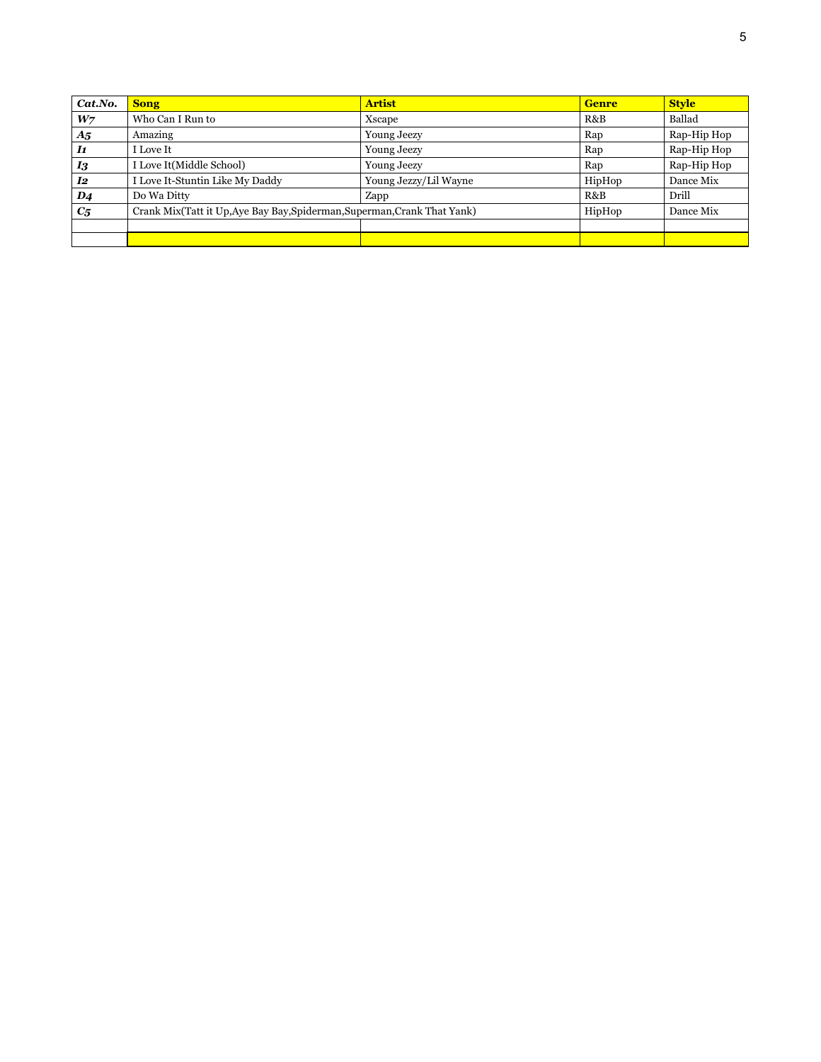| Cat.No.        | <b>Song</b>                                                              | <b>Artist</b>         | <b>Genre</b> | <b>Style</b> |
|----------------|--------------------------------------------------------------------------|-----------------------|--------------|--------------|
| W <sub>7</sub> | Who Can I Run to                                                         | Xscape                | R&B          | Ballad       |
| $A_{5}$        | Amazing                                                                  | <b>Young Jeezy</b>    | Rap          | Rap-Hip Hop  |
| $\bm{I1}$      | I Love It                                                                | <b>Young Jeezy</b>    | Rap          | Rap-Hip Hop  |
| $I_3$          | I Love It(Middle School)                                                 | <b>Young Jeezy</b>    | Rap          | Rap-Hip Hop  |
| I2             | I Love It-Stuntin Like My Daddy                                          | Young Jezzy/Lil Wayne | HipHop       | Dance Mix    |
| $\mathbf{D4}$  | Do Wa Ditty                                                              | Zapp                  | R&B          | Drill        |
| $C_{5}$        | Crank Mix(Tatt it Up, Aye Bay Bay, Spiderman, Superman, Crank That Yank) |                       | HipHop       | Dance Mix    |
|                |                                                                          |                       |              |              |
|                |                                                                          |                       |              |              |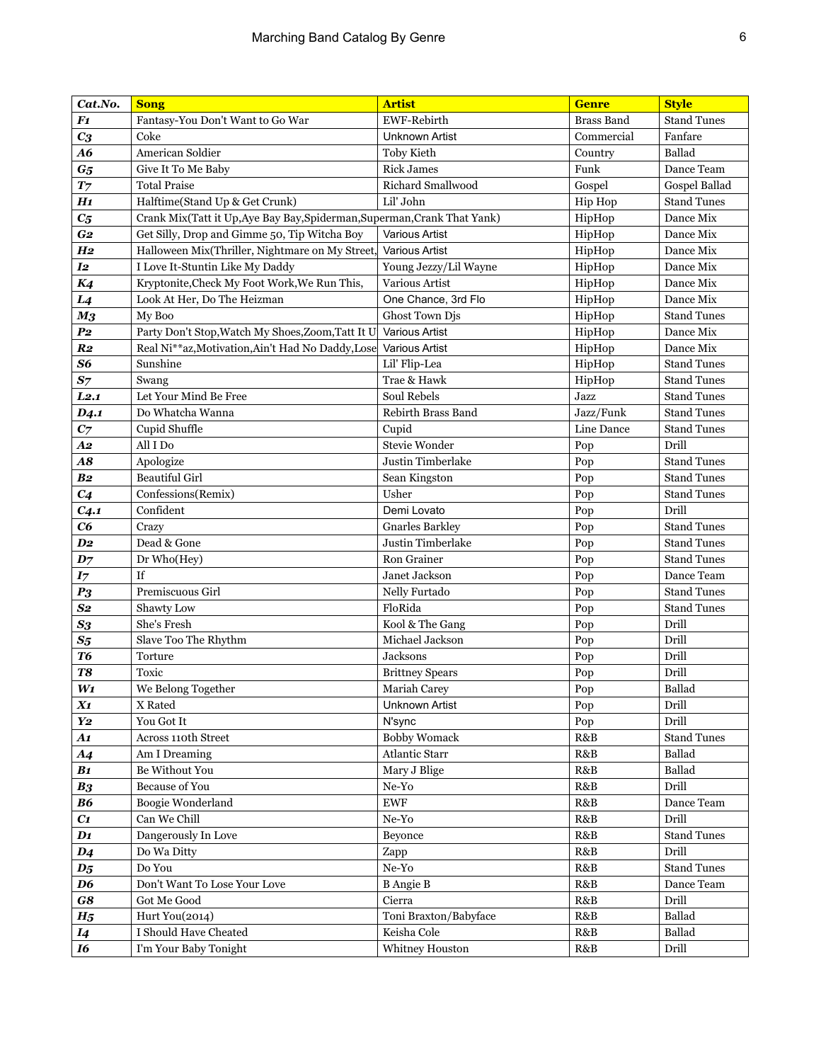| Cat.No.            | <b>Song</b>                                                              | <b>Artist</b>             | <b>Genre</b>                  | <b>Style</b>       |
|--------------------|--------------------------------------------------------------------------|---------------------------|-------------------------------|--------------------|
| $\bm{F1}$          | Fantasy-You Don't Want to Go War                                         | EWF-Rebirth               | <b>Brass Band</b>             | <b>Stand Tunes</b> |
| $C_3$              | Coke                                                                     | <b>Unknown Artist</b>     | Commercial                    | Fanfare            |
| A6                 | American Soldier                                                         | Toby Kieth                | Country                       | Ballad             |
| $G_5$              | Give It To Me Baby                                                       | <b>Rick James</b>         | Funk                          | Dance Team         |
| T <sub>7</sub>     | <b>Total Praise</b>                                                      | Richard Smallwood         | Gospel                        | Gospel Ballad      |
| H1                 | Halftime(Stand Up & Get Crunk)                                           | Lil' John                 | Hip Hop                       | <b>Stand Tunes</b> |
| $C_{5}$            | Crank Mix(Tatt it Up, Aye Bay Bay, Spiderman, Superman, Crank That Yank) |                           | HipHop                        | Dance Mix          |
| G <sub>2</sub>     | Get Silly, Drop and Gimme 50, Tip Witcha Boy                             | Various Artist            | HipHop                        | Dance Mix          |
| H <sub>2</sub>     | Halloween Mix(Thriller, Nightmare on My Street,                          | Various Artist            | HipHop                        | Dance Mix          |
| I <sub>2</sub>     | I Love It-Stuntin Like My Daddy                                          | Young Jezzy/Lil Wayne     | HipHop                        | Dance Mix          |
| K4                 | Kryptonite, Check My Foot Work, We Run This,                             | Various Artist            | HipHop                        | Dance Mix          |
| L <sub>4</sub>     | Look At Her, Do The Heizman                                              | One Chance, 3rd Flo       | HipHop                        | Dance Mix          |
| M <sub>3</sub>     | My Boo                                                                   | Ghost Town Djs            | HipHop                        | <b>Stand Tunes</b> |
| $P_{2}$            | Party Don't Stop, Watch My Shoes, Zoom, Tatt It U                        | Various Artist            | HipHop                        | Dance Mix          |
| R <sub>2</sub>     | Real Ni**az, Motivation, Ain't Had No Daddy, Lose                        | Various Artist            | HipHop                        | Dance Mix          |
| S6                 | Sunshine                                                                 | Lil' Flip-Lea             | HipHop                        | <b>Stand Tunes</b> |
| $S_7$              | Swang                                                                    | Trae & Hawk               | HipHop                        | <b>Stand Tunes</b> |
| L2.1               | Let Your Mind Be Free                                                    | Soul Rebels               | Jazz                          | <b>Stand Tunes</b> |
| D <sub>4</sub> .1  | Do Whatcha Wanna                                                         | <b>Rebirth Brass Band</b> | Jazz/Funk                     | <b>Stand Tunes</b> |
| $C_7$              | Cupid Shuffle                                                            | Cupid                     | Line Dance                    | <b>Stand Tunes</b> |
| A2                 | All I Do                                                                 | Stevie Wonder             | Pop                           | Drill              |
| $\boldsymbol{A8}$  | Apologize                                                                | Justin Timberlake         | Pop                           | <b>Stand Tunes</b> |
| B <sub>2</sub>     | <b>Beautiful Girl</b>                                                    | Sean Kingston             | Pop                           | <b>Stand Tunes</b> |
| C <sub>4</sub>     | Confessions(Remix)                                                       | Usher                     | Pop                           | <b>Stand Tunes</b> |
| C <sub>4.1</sub>   | Confident                                                                | Demi Lovato               | Pop                           | Drill              |
| C6                 | Crazy                                                                    | <b>Gnarles Barkley</b>    | Pop                           | <b>Stand Tunes</b> |
| D <sub>2</sub>     | Dead & Gone                                                              | Justin Timberlake         | Pop                           | <b>Stand Tunes</b> |
| $D_7$              | Dr Who(Hey)                                                              | Ron Grainer               | Pop                           | <b>Stand Tunes</b> |
| I7                 | If                                                                       | Janet Jackson             | Pop                           | Dance Team         |
| P <sub>3</sub>     | Premiscuous Girl                                                         | Nelly Furtado             | Pop                           | <b>Stand Tunes</b> |
| $S_{2}$            | Shawty Low                                                               | FloRida                   | Pop                           | <b>Stand Tunes</b> |
| $S_3$              | She's Fresh                                                              | Kool & The Gang           | Pop                           | Drill              |
| $S_5$              | Slave Too The Rhythm                                                     | Michael Jackson           | Pop                           | Drill              |
| T6                 | Torture                                                                  | Jacksons                  | Pop                           | Drill              |
| T8                 | Toxic                                                                    | <b>Brittney Spears</b>    | Pop                           | Drill              |
| $W_1$              | We Belong Together                                                       | Mariah Carey              | $\operatorname{\mathsf{Pop}}$ | Ballad             |
| X1                 | X Rated                                                                  | <b>Unknown Artist</b>     | Pop                           | Drill              |
| Y <sub>2</sub>     | You Got It                                                               | N'sync                    | Pop                           | Drill              |
| A1                 | Across 110th Street                                                      | <b>Bobby Womack</b>       | R&B                           | <b>Stand Tunes</b> |
| A <sub>4</sub>     | Am I Dreaming                                                            | Atlantic Starr            | R&B                           | Ballad             |
| B <sub>1</sub>     | Be Without You                                                           | Mary J Blige              | R&B                           | Ballad             |
| B <sub>3</sub>     | Because of You                                                           | $Ne-Yo$                   | R&B                           | Drill              |
| <b>B6</b>          | Boogie Wonderland                                                        | <b>EWF</b>                | R&B                           | Dance Team         |
| C1                 | Can We Chill                                                             | $Ne-Yo$                   | R&B                           | Drill              |
| $\mathbf{D1}$      | Dangerously In Love                                                      | Beyonce                   | R&B                           | <b>Stand Tunes</b> |
| $D_4$              | Do Wa Ditty                                                              | Zapp                      | R&B                           | Drill              |
| $\boldsymbol{D_5}$ | Do You                                                                   | $Ne-Yo$                   | R&B                           | <b>Stand Tunes</b> |
| D6                 | Don't Want To Lose Your Love                                             | <b>B</b> Angie B          | R&B                           | Dance Team         |
| $\bm{G8}$          | Got Me Good                                                              | Cierra                    | R&B                           | Drill              |
| H <sub>5</sub>     | Hurt You(2014)                                                           | Toni Braxton/Babyface     | R&B                           | Ballad             |
| <i>I4</i>          | I Should Have Cheated                                                    | Keisha Cole               | R&B                           | Ballad             |
| <b>16</b>          | I'm Your Baby Tonight                                                    | Whitney Houston           | R&B                           | Drill              |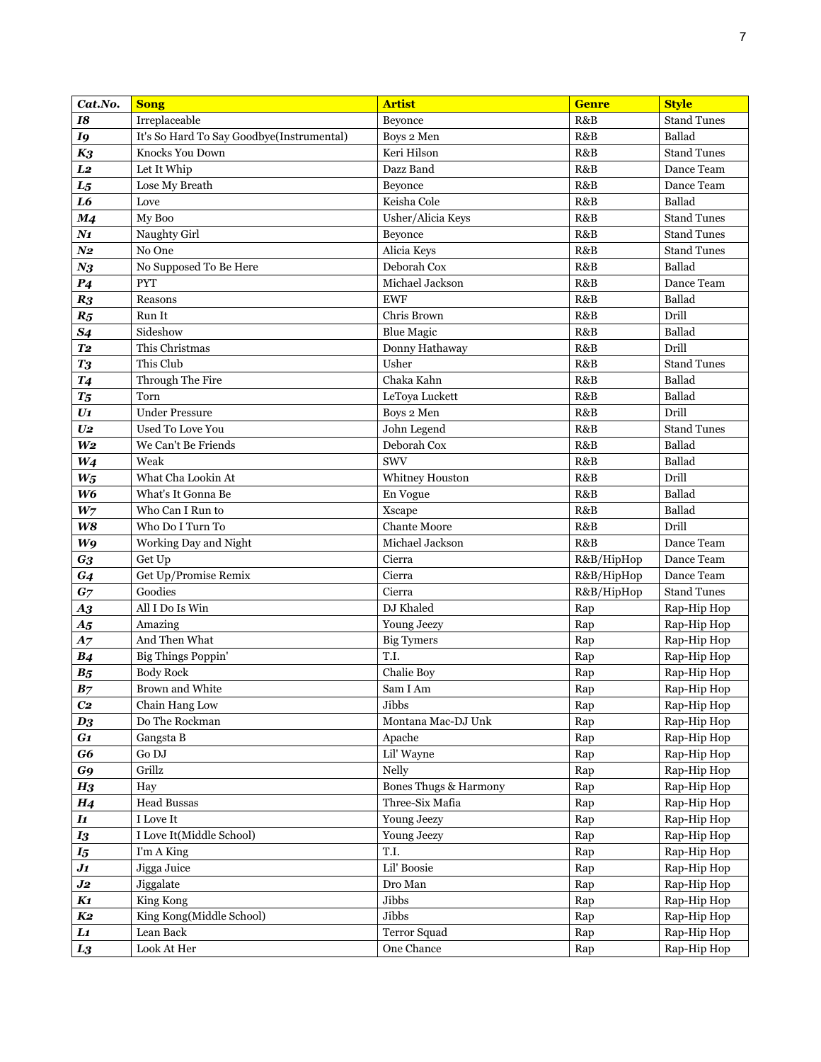| Cat.No.                    | <b>Song</b>                               | <b>Artist</b>         | <b>Genre</b> | <b>Style</b>       |
|----------------------------|-------------------------------------------|-----------------------|--------------|--------------------|
| <b>I8</b>                  | Irreplaceable                             | Beyonce               | R&B          | <b>Stand Tunes</b> |
| I9                         | It's So Hard To Say Goodbye(Instrumental) | Boys 2 Men            | R&B          | Ballad             |
| $K_3$                      | Knocks You Down                           | Keri Hilson           | R&B          | <b>Stand Tunes</b> |
| L <sub>2</sub>             | Let It Whip                               | Dazz Band             | R&B          | Dance Team         |
| $L_5$                      | Lose My Breath                            | Beyonce               | R&B          | Dance Team         |
| L6                         | Love                                      | Keisha Cole           | R&B          | Ballad             |
| M <sub>4</sub>             | My Boo                                    | Usher/Alicia Keys     | R&B          | <b>Stand Tunes</b> |
| $N_{1}$                    | Naughty Girl                              | Beyonce               | R&B          | <b>Stand Tunes</b> |
| $N_{2}$                    | No One                                    | Alicia Keys           | R&B          | <b>Stand Tunes</b> |
| $N_3$                      | No Supposed To Be Here                    | Deborah Cox           | R&B          | Ballad             |
| P <sub>4</sub>             | <b>PYT</b>                                | Michael Jackson       | R&B          | Dance Team         |
| R <sub>3</sub>             | Reasons                                   | <b>EWF</b>            | R&B          | Ballad             |
| $R_5$                      | Run It                                    | Chris Brown           | R&B          | Drill              |
| <b>S4</b>                  | Sideshow                                  | <b>Blue Magic</b>     | R&B          | Ballad             |
| T <sub>2</sub>             | This Christmas                            | Donny Hathaway        | R&B          | Drill              |
| <b>T3</b>                  | This Club                                 | Usher                 | R&B          | <b>Stand Tunes</b> |
| T <sub>4</sub>             | Through The Fire                          | Chaka Kahn            | R&B          | Ballad             |
| $T_5$                      | Torn                                      | LeToya Luckett        | R&B          | Ballad             |
| $U_1$                      | <b>Under Pressure</b>                     | Boys 2 Men            | R&B          | Drill              |
| U <sub>2</sub>             | Used To Love You                          | John Legend           | R&B          | <b>Stand Tunes</b> |
| W <sub>2</sub>             | We Can't Be Friends                       | Deborah Cox           | R&B          | Ballad             |
| $W_4$                      | Weak                                      | <b>SWV</b>            | R&B          | Ballad             |
| $W_5$                      | What Cha Lookin At                        | Whitney Houston       | R&B          | Drill              |
| W6                         | What's It Gonna Be                        | En Vogue              | R&B          | Ballad             |
| W <sub>7</sub>             | Who Can I Run to                          | Xscape                | R&B          | Ballad             |
| W8                         | Who Do I Turn To                          | <b>Chante Moore</b>   | R&B          | Drill              |
| W9                         | Working Day and Night                     | Michael Jackson       | R&B          | Dance Team         |
| G <sub>3</sub>             | Get Up                                    | Cierra                | R&B/HipHop   | Dance Team         |
| G <sub>4</sub>             | Get Up/Promise Remix                      | Cierra                | R&B/HipHop   | Dance Team         |
| G <sub>7</sub>             | Goodies                                   | Cierra                | R&B/HipHop   | <b>Stand Tunes</b> |
| $\boldsymbol{A3}$          | All I Do Is Win                           | DJ Khaled             | Rap          | Rap-Hip Hop        |
| A <sub>5</sub>             | Amazing                                   | Young Jeezy           | Rap          | Rap-Hip Hop        |
| A7                         | And Then What                             | <b>Big Tymers</b>     | Rap          | Rap-Hip Hop        |
| B <sub>4</sub>             | <b>Big Things Poppin'</b>                 | T.I.                  | Rap          | Rap-Hip Hop        |
| B <sub>5</sub>             | <b>Body Rock</b>                          | Chalie Boy            | Rap          | Rap-Hip Hop        |
| B <sub>7</sub>             | Brown and White                           | Sam I Am              | Rap          | Rap-Hip Hop        |
| C <sub>2</sub>             | Chain Hang Low                            | Jibbs                 | Rap          | Rap-Hip Hop        |
| $D_3$                      | Do The Rockman                            | Montana Mac-DJ Unk    | Rap          | Rap-Hip Hop        |
| G1                         | Gangsta B                                 | Apache                | Rap          | Rap-Hip Hop        |
| G6                         | Go DJ                                     | Lil' Wayne            | Rap          | Rap-Hip Hop        |
| G9                         | Grillz                                    | Nelly                 | Rap          | Rap-Hip Hop        |
| H <sub>3</sub>             | Hay                                       | Bones Thugs & Harmony | Rap          | Rap-Hip Hop        |
| H <sub>4</sub>             | <b>Head Bussas</b>                        | Three-Six Mafia       | Rap          | Rap-Hip Hop        |
| $\boldsymbol{\mathit{I1}}$ | I Love It                                 | Young Jeezy           | Rap          | Rap-Hip Hop        |
| $I_3$                      | I Love It(Middle School)                  | Young Jeezy           | Rap          | Rap-Hip Hop        |
| $I_5$                      | I'm A King                                | T.I.                  | Rap          | Rap-Hip Hop        |
| $\bm{J_1}$                 | Jigga Juice                               | Lil' Boosie           | Rap          | Rap-Hip Hop        |
| J2                         | Jiggalate                                 | Dro Man               | Rap          | Rap-Hip Hop        |
| K1                         | King Kong                                 | Jibbs                 | Rap          | Rap-Hip Hop        |
| K2                         | King Kong(Middle School)                  | Jibbs                 | Rap          | Rap-Hip Hop        |
| $\bm{L1}$                  | Lean Back                                 | Terror Squad          | Rap          | Rap-Hip Hop        |
| $L_3$                      | Look At Her                               | One Chance            | Rap          | Rap-Hip Hop        |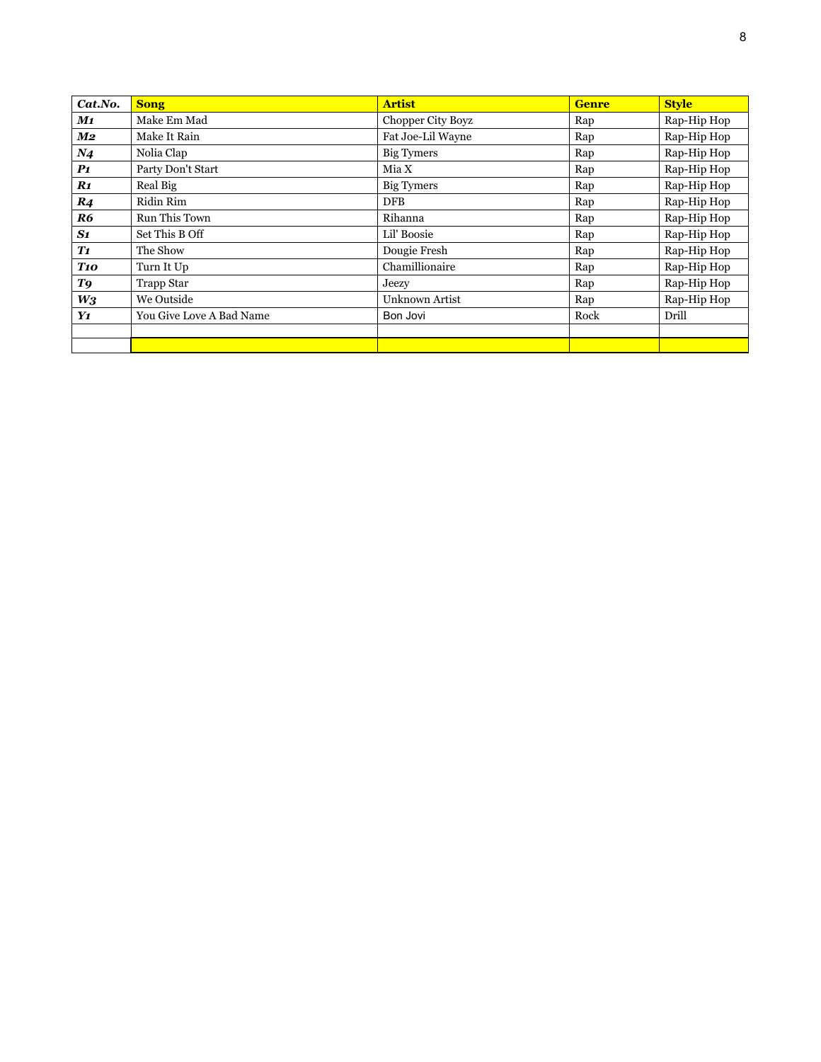| Cat.No.         | <b>Song</b>              | <b>Artist</b>            | <b>Genre</b> | <b>Style</b> |
|-----------------|--------------------------|--------------------------|--------------|--------------|
| M1              | Make Em Mad              | <b>Chopper City Boyz</b> | Rap          | Rap-Hip Hop  |
| M2              | Make It Rain             | Fat Joe-Lil Wayne        | Rap          | Rap-Hip Hop  |
| N <sub>4</sub>  | Nolia Clap               | Big Tymers               | Rap          | Rap-Hip Hop  |
| $\bm{P1}$       | Party Don't Start        | Mia X                    | Rap          | Rap-Hip Hop  |
| $\mathbf{R1}$   | Real Big                 | Big Tymers               | Rap          | Rap-Hip Hop  |
| R <sub>4</sub>  | Ridin Rim                | DFB                      | Rap          | Rap-Hip Hop  |
| R6              | Run This Town            | Rihanna                  | Rap          | Rap-Hip Hop  |
| S1              | Set This B Off           | Lil' Boosie              | Rap          | Rap-Hip Hop  |
| T1              | The Show                 | Dougie Fresh             | Rap          | Rap-Hip Hop  |
| T <sub>10</sub> | Turn It Up               | Chamillionaire           | Rap          | Rap-Hip Hop  |
| T9              | <b>Trapp Star</b>        | Jeezy                    | Rap          | Rap-Hip Hop  |
| $W_3$           | We Outside               | Unknown Artist           | Rap          | Rap-Hip Hop  |
| Y1              | You Give Love A Bad Name | Bon Jovi                 | Rock         | Drill        |
|                 |                          |                          |              |              |
|                 |                          |                          |              |              |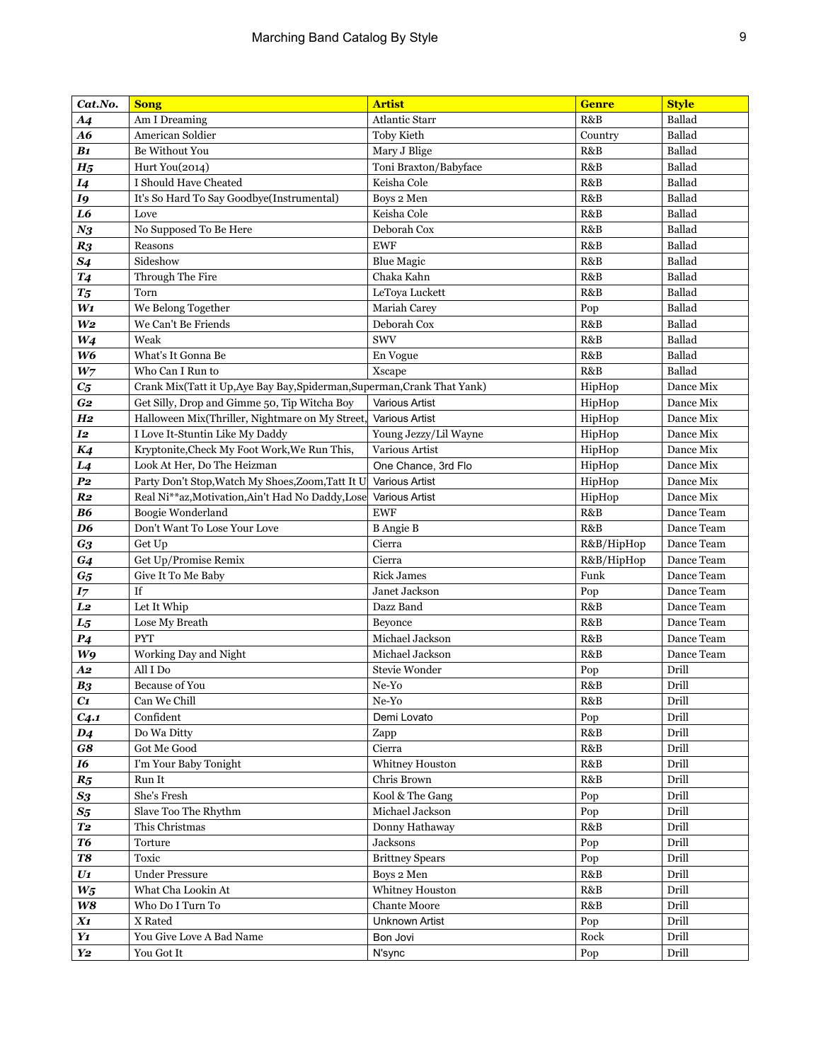| Cat.No.            | <b>Song</b>                                                              | <b>Artist</b>                      | <b>Genre</b> | <b>Style</b>   |
|--------------------|--------------------------------------------------------------------------|------------------------------------|--------------|----------------|
| A <sub>4</sub>     | Am I Dreaming                                                            | <b>Atlantic Starr</b>              | R&B          | Ballad         |
| A6                 | American Soldier                                                         | <b>Toby Kieth</b>                  | Country      | Ballad         |
| B1                 | Be Without You                                                           | Mary J Blige                       | R&B          | Ballad         |
| H <sub>5</sub>     | Hurt You(2014)                                                           | Toni Braxton/Babyface              | R&B          | Ballad         |
| <i>I4</i>          | I Should Have Cheated                                                    | Keisha Cole                        | R&B          | Ballad         |
| I9                 | It's So Hard To Say Goodbye(Instrumental)                                | Boys 2 Men                         | R&B          | Ballad         |
| $\bf{L6}$          | Love                                                                     | Keisha Cole                        | R&B          | Ballad         |
| $N_3$              | No Supposed To Be Here                                                   | Deborah Cox                        | R&B          | Ballad         |
| R <sub>3</sub>     | Reasons                                                                  | <b>EWF</b>                         | R&B          | Ballad         |
| S <sub>4</sub>     | Sideshow                                                                 | <b>Blue Magic</b>                  | R&B          | Ballad         |
| <b>T4</b>          | Through The Fire                                                         | Chaka Kahn                         | R&B          | Ballad         |
| $T_5$              | Torn                                                                     | LeToya Luckett                     | R&B          | Ballad         |
| $W_1$              | We Belong Together                                                       | <b>Mariah Carey</b>                | Pop          | Ballad         |
| W <sub>2</sub>     | We Can't Be Friends                                                      | Deborah Cox                        | R&B          | Ballad         |
| $W_4$              | Weak                                                                     | <b>SWV</b>                         | R&B          | Ballad         |
| W <sub>6</sub>     | What's It Gonna Be                                                       | En Vogue                           | R&B          | Ballad         |
| W <sub>7</sub>     | Who Can I Run to                                                         | Xscape                             | R&B          | Ballad         |
| $C_{5}$            | Crank Mix(Tatt it Up, Aye Bay Bay, Spiderman, Superman, Crank That Yank) |                                    | HipHop       | Dance Mix      |
| G <sub>2</sub>     | Get Silly, Drop and Gimme 50, Tip Witcha Boy                             | <b>Various Artist</b>              | HipHop       | Dance Mix      |
| H <sub>2</sub>     | Halloween Mix(Thriller, Nightmare on My Street,                          | <b>Various Artist</b>              | HipHop       | Dance Mix      |
| I <sub>2</sub>     | I Love It-Stuntin Like My Daddy                                          | Young Jezzy/Lil Wayne              | HipHop       | Dance Mix      |
| K4                 | Kryptonite, Check My Foot Work, We Run This,                             | Various Artist                     | HipHop       | Dance Mix      |
| L <sub>4</sub>     | Look At Her, Do The Heizman                                              | One Chance, 3rd Flo                | HipHop       | Dance Mix      |
| P <sub>2</sub>     | Party Don't Stop, Watch My Shoes, Zoom, Tatt It U                        | <b>Various Artist</b>              | HipHop       | Dance Mix      |
| R <sub>2</sub>     | Real Ni**az, Motivation, Ain't Had No Daddy, Lose                        | <b>Various Artist</b>              | HipHop       | Dance Mix      |
| <b>B6</b>          | Boogie Wonderland                                                        | <b>EWF</b>                         | R&B          | Dance Team     |
| D <sub>6</sub>     | Don't Want To Lose Your Love                                             | <b>B</b> Angie B                   | R&B          | Dance Team     |
| $G_3$              | Get Up                                                                   | Cierra                             | R&B/HipHop   | Dance Team     |
| G <sub>4</sub>     | Get Up/Promise Remix                                                     | Cierra                             | R&B/HipHop   | Dance Team     |
| $G_5$              | Give It To Me Baby                                                       | <b>Rick James</b>                  | Funk         | Dance Team     |
| I7                 | If                                                                       | Janet Jackson                      | Pop          | Dance Team     |
| L <sub>2</sub>     | Let It Whip                                                              | Dazz Band                          | R&B          | Dance Team     |
| $L_5$              | Lose My Breath                                                           | Beyonce                            | R&B          | Dance Team     |
| P <sub>4</sub>     | <b>PYT</b>                                                               | Michael Jackson                    | R&B          | Dance Team     |
| W9                 | Working Day and Night                                                    | Michael Jackson                    | R&B          | Dance Team     |
| A2                 | All I Do                                                                 | <b>Stevie Wonder</b>               | Pop          | Drill          |
| B <sub>3</sub>     | <b>Because of You</b>                                                    | $Ne-Yo$                            | R&B          | Drill          |
| C1                 | Can We Chill                                                             | Ne-Yo                              | R&B          | Drill          |
| C <sub>4.1</sub>   | Confident                                                                | Demi Lovato                        | Pop          | Drill          |
| $\boldsymbol{D_4}$ | Do Wa Ditty                                                              | Zapp                               | R&B          | Drill          |
| G8                 | Got Me Good                                                              | Cierra                             | R&B          | Drill          |
| 16                 | I'm Your Baby Tonight                                                    | Whitney Houston                    | R&B          | Drill          |
| $R_5$              | Run It                                                                   | Chris Brown                        | R&B          | Drill          |
| $\boldsymbol{S3}$  | She's Fresh                                                              | Kool & The Gang<br>Michael Jackson | Pop          | Drill          |
| $\mathcal{S}5$     | Slave Too The Rhythm<br>This Christmas                                   |                                    | Pop          | Drill          |
| <b>T2</b>          |                                                                          | Donny Hathaway                     | R&B          | Drill          |
| <b>T6</b>          | Torture                                                                  | Jacksons                           | Pop          | Drill          |
| <b>T8</b>          | Toxic                                                                    | <b>Brittney Spears</b>             | Pop          | Drill          |
| $U$ 1              | <b>Under Pressure</b>                                                    | Boys 2 Men                         | R&B          | Drill<br>Drill |
| $W_5$              | What Cha Lookin At                                                       | Whitney Houston                    | R&B          |                |
| $\boldsymbol{W8}$  | Who Do I Turn To                                                         | <b>Chante Moore</b>                | R&B          | Drill          |
| X1                 | X Rated                                                                  | Unknown Artist                     | Pop          | Drill          |
| Y1                 | You Give Love A Bad Name                                                 | Bon Jovi                           | Rock         | Drill          |
| Y <sub>2</sub>     | You Got It                                                               | N'sync                             | Pop          | Drill          |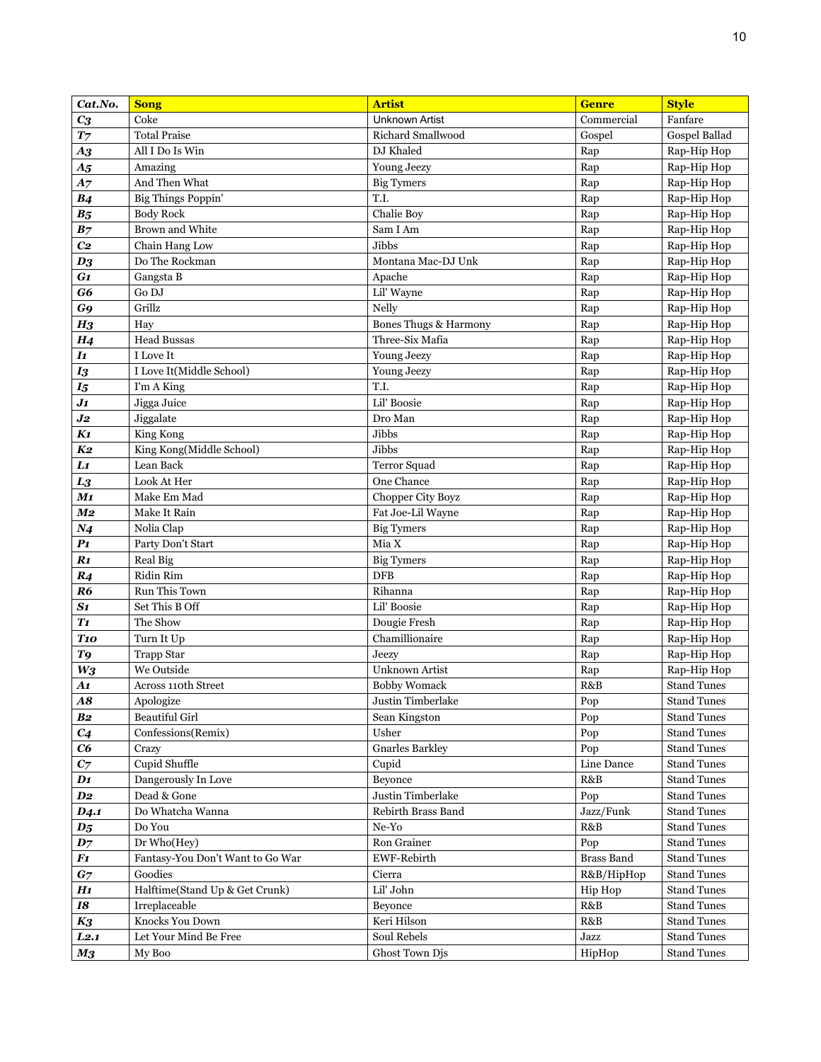| Cat.No.                     | <b>Song</b>                      | <b>Artist</b>                   | <b>Genre</b>      | <b>Style</b>               |
|-----------------------------|----------------------------------|---------------------------------|-------------------|----------------------------|
| $C_3$                       | Coke                             | <b>Unknown Artist</b>           | Commercial        | Fanfare                    |
| $\boldsymbol{T}$            | <b>Total Praise</b>              | <b>Richard Smallwood</b>        | Gospel            | Gospel Ballad              |
| $\boldsymbol{A3}$           | All I Do Is Win                  | DJ Khaled                       | Rap               | Rap-Hip Hop                |
| A <sub>5</sub>              | Amazing                          | Young Jeezy                     | Rap               | Rap-Hip Hop                |
| A7                          | And Then What                    | <b>Big Tymers</b>               | Rap               | Rap-Hip Hop                |
| <b>B4</b>                   | <b>Big Things Poppin'</b>        | T.I.                            | Rap               | Rap-Hip Hop                |
| B <sub>5</sub>              | <b>Body Rock</b>                 | Chalie Boy                      | Rap               | Rap-Hip Hop                |
| B <sub>7</sub>              | Brown and White                  | Sam I Am                        | Rap               | Rap-Hip Hop                |
| C <sub>2</sub>              | Chain Hang Low                   | Jibbs                           | Rap               | Rap-Hip Hop                |
| $\boldsymbol{D3}$           | Do The Rockman                   | Montana Mac-DJ Unk              | Rap               | Rap-Hip Hop                |
| G1                          | Gangsta B                        | Apache                          | Rap               | Rap-Hip Hop                |
| G6                          | Go DJ                            | Lil' Wayne                      | Rap               | Rap-Hip Hop                |
| G9                          | Grillz                           | Nelly                           | Rap               | Rap-Hip Hop                |
| H <sub>3</sub>              | Hay                              | Bones Thugs & Harmony           | Rap               | Rap-Hip Hop                |
| H <sub>4</sub>              | <b>Head Bussas</b>               | Three-Six Mafia                 | Rap               | Rap-Hip Hop                |
| $\bm{I1}$                   | I Love It                        | <b>Young Jeezy</b>              | Rap               | Rap-Hip Hop                |
| $I_3$                       | I Love It(Middle School)         | Young Jeezy                     | Rap               | Rap-Hip Hop                |
| $I_5$                       | I'm A King                       | T.I.                            | Rap               | Rap-Hip Hop                |
| $J_1$                       | Jigga Juice                      | Lil' Boosie                     | Rap               | Rap-Hip Hop                |
| $\boldsymbol{J2}$           | Jiggalate                        | Dro Man                         | Rap               | Rap-Hip Hop                |
| K1                          | King Kong                        | Jibbs                           | Rap               | Rap-Hip Hop                |
| K2                          | King Kong(Middle School)         | Jibbs                           | Rap               | Rap-Hip Hop                |
| $\bm{L1}$                   | Lean Back                        | Terror Squad                    | Rap               | Rap-Hip Hop                |
| $L_{3}$                     | Look At Her                      | One Chance                      | Rap               | Rap-Hip Hop                |
| M1                          | Make Em Mad                      | Chopper City Boyz               | Rap               | Rap-Hip Hop                |
| M <sub>2</sub>              | Make It Rain                     | Fat Joe-Lil Wayne               | Rap               | Rap-Hip Hop                |
| N <sub>4</sub>              | Nolia Clap                       | <b>Big Tymers</b>               | Rap               | Rap-Hip Hop                |
| P <sub>1</sub><br>R1        | Party Don't Start                | Mia X                           | Rap               | Rap-Hip Hop                |
|                             | Real Big<br>Ridin Rim            | <b>Big Tymers</b><br><b>DFB</b> | Rap               | Rap-Hip Hop                |
| R <sub>4</sub><br><b>R6</b> | Run This Town                    | Rihanna                         | Rap<br>Rap        | Rap-Hip Hop<br>Rap-Hip Hop |
| S1                          | Set This B Off                   | Lil' Boosie                     | Rap               | Rap-Hip Hop                |
| T1                          | The Show                         | Dougie Fresh                    | Rap               | Rap-Hip Hop                |
| T <sub>10</sub>             | Turn It Up                       | Chamillionaire                  | Rap               | Rap-Hip Hop                |
| T9                          | <b>Trapp Star</b>                | Jeezy                           | Rap               | Rap-Hip Hop                |
| $W_3$                       | We Outside                       | Unknown Artist                  | Rap               | Rap-Hip Hop                |
| $\boldsymbol{A1}$           | <b>Across 110th Street</b>       | <b>Bobby Womack</b>             | R&B               | <b>Stand Tunes</b>         |
| <b>A8</b>                   | Apologize                        | Justin Timberlake               | Pop               | <b>Stand Tunes</b>         |
| B <sub>2</sub>              | <b>Beautiful Girl</b>            | Sean Kingston                   | Pop               | <b>Stand Tunes</b>         |
| C <sub>4</sub>              | Confessions(Remix)               | Usher                           | Pop               | <b>Stand Tunes</b>         |
| C6                          | Crazy                            | <b>Gnarles Barkley</b>          | Pop               | <b>Stand Tunes</b>         |
| $\mathbf{C} \mathbf{7}$     | Cupid Shuffle                    | Cupid                           | Line Dance        | <b>Stand Tunes</b>         |
| $\mathbf{D1}$               | Dangerously In Love              | Beyonce                         | R&B               | <b>Stand Tunes</b>         |
| $\bm{D2}$                   | Dead & Gone                      | Justin Timberlake               | Pop               | <b>Stand Tunes</b>         |
| D <sub>4.1</sub>            | Do Whatcha Wanna                 | Rebirth Brass Band              | Jazz/Funk         | <b>Stand Tunes</b>         |
| $\boldsymbol{D_5}$          | Do You                           | Ne-Yo                           | R&B               | <b>Stand Tunes</b>         |
| $\bm{D7}$                   | Dr Who(Hey)                      | Ron Grainer                     | Pop               | <b>Stand Tunes</b>         |
| $\boldsymbol{F1}$           | Fantasy-You Don't Want to Go War | <b>EWF-Rebirth</b>              | <b>Brass Band</b> | <b>Stand Tunes</b>         |
| G <sub>7</sub>              | Goodies                          | Cierra                          | R&B/HipHop        | <b>Stand Tunes</b>         |
| H1                          | Halftime(Stand Up & Get Crunk)   | Lil' John                       | Hip Hop           | <b>Stand Tunes</b>         |
| 18                          | Irreplaceable                    | Beyonce                         | R&B               | <b>Stand Tunes</b>         |
| $K_3$                       | Knocks You Down                  | Keri Hilson                     | R&B               | <b>Stand Tunes</b>         |
| L2.1                        | Let Your Mind Be Free            | Soul Rebels                     | Jazz              | <b>Stand Tunes</b>         |
| $\boldsymbol{M_3}$          | My Boo                           | Ghost Town Djs                  | HipHop            | <b>Stand Tunes</b>         |